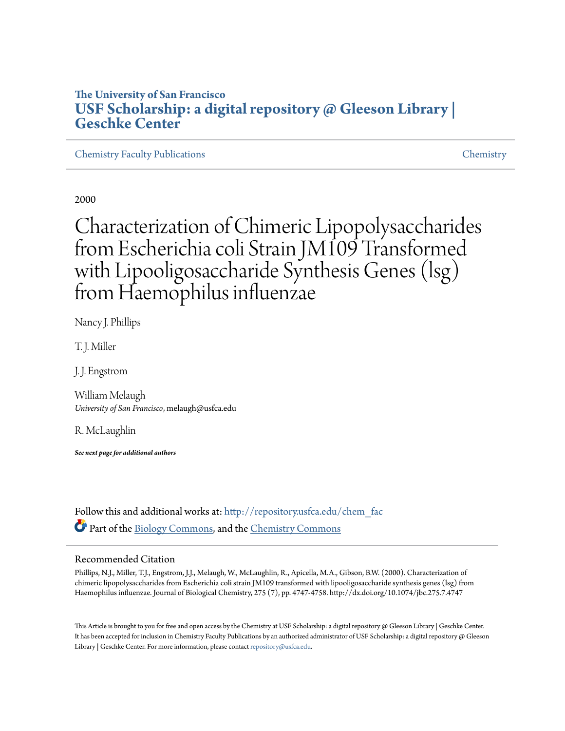## **The University of San Francisco [USF Scholarship: a digital repository @ Gleeson Library |](http://repository.usfca.edu?utm_source=repository.usfca.edu%2Fchem_fac%2F32&utm_medium=PDF&utm_campaign=PDFCoverPages) [Geschke Center](http://repository.usfca.edu?utm_source=repository.usfca.edu%2Fchem_fac%2F32&utm_medium=PDF&utm_campaign=PDFCoverPages)**

[Chemistry Faculty Publications](http://repository.usfca.edu/chem_fac?utm_source=repository.usfca.edu%2Fchem_fac%2F32&utm_medium=PDF&utm_campaign=PDFCoverPages) [Chemistry](http://repository.usfca.edu/chem?utm_source=repository.usfca.edu%2Fchem_fac%2F32&utm_medium=PDF&utm_campaign=PDFCoverPages)

2000

# Characterization of Chimeric Lipopolysaccharides from Escherichia coli Strain JM109 Transformed with Lipooligosaccharide Synthesis Genes (lsg) from Haemophilus influenzae

Nancy J. Phillips

T. J. Miller

J. J. Engstrom

William Melaugh *University of San Francisco*, melaugh@usfca.edu

R. McLaughlin

*See next page for additional authors*

Follow this and additional works at: [http://repository.usfca.edu/chem\\_fac](http://repository.usfca.edu/chem_fac?utm_source=repository.usfca.edu%2Fchem_fac%2F32&utm_medium=PDF&utm_campaign=PDFCoverPages) Part of the [Biology Commons,](http://network.bepress.com/hgg/discipline/41?utm_source=repository.usfca.edu%2Fchem_fac%2F32&utm_medium=PDF&utm_campaign=PDFCoverPages) and the [Chemistry Commons](http://network.bepress.com/hgg/discipline/131?utm_source=repository.usfca.edu%2Fchem_fac%2F32&utm_medium=PDF&utm_campaign=PDFCoverPages)

### Recommended Citation

Phillips, N.J., Miller, T.J., Engstrom, J.J., Melaugh, W., McLaughlin, R., Apicella, M.A., Gibson, B.W. (2000). Characterization of chimeric lipopolysaccharides from Escherichia coli strain JM109 transformed with lipooligosaccharide synthesis genes (lsg) from Haemophilus influenzae. Journal of Biological Chemistry, 275 (7), pp. 4747-4758. http://dx.doi.org/10.1074/jbc.275.7.4747

This Article is brought to you for free and open access by the Chemistry at USF Scholarship: a digital repository @ Gleeson Library | Geschke Center. It has been accepted for inclusion in Chemistry Faculty Publications by an authorized administrator of USF Scholarship: a digital repository @ Gleeson Library | Geschke Center. For more information, please contact [repository@usfca.edu.](mailto:repository@usfca.edu)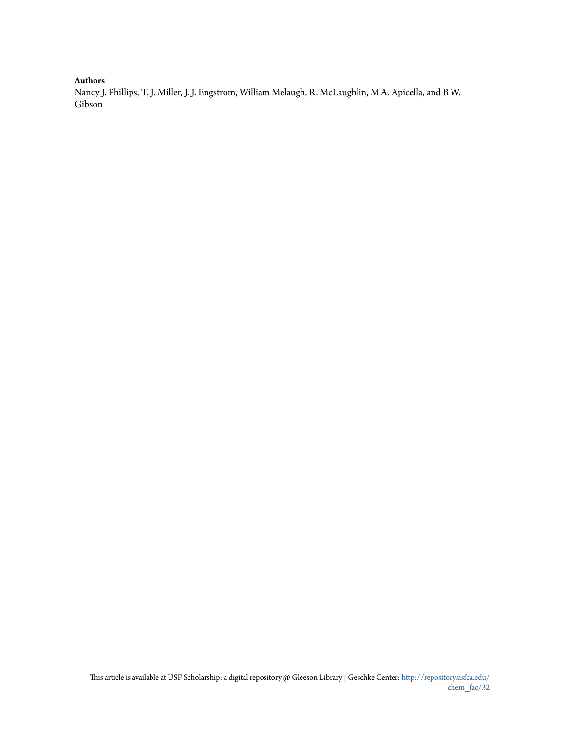### **Authors**

Nancy J. Phillips, T. J. Miller, J. J. Engstrom, William Melaugh, R. McLaughlin, M A. Apicella, and B W. Gibson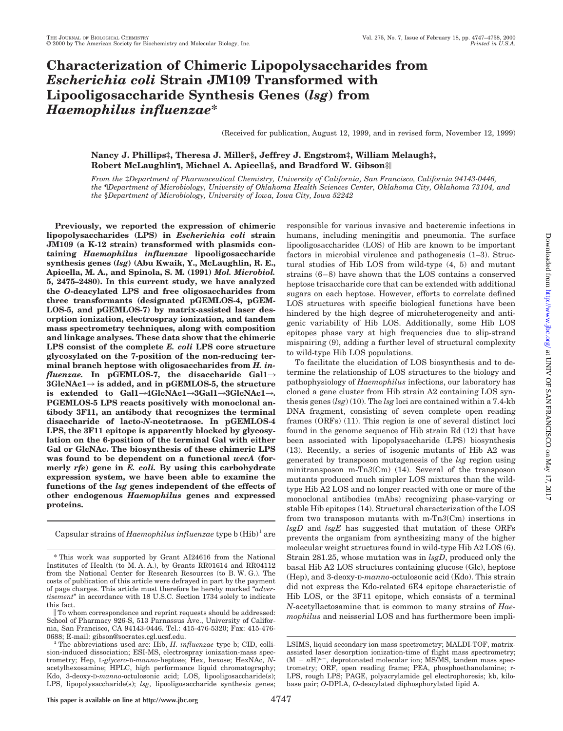# **Characterization of Chimeric Lipopolysaccharides from** *Escherichia coli* **Strain JM109 Transformed with Lipooligosaccharide Synthesis Genes (***lsg***) from** *Haemophilus influenzae***\***

(Received for publication, August 12, 1999, and in revised form, November 12, 1999)

### **Nancy J. Phillips‡, Theresa J. Miller§, Jeffrey J. Engstrom‡, William Melaugh‡, Robert McLaughlin¶, Michael A. Apicella§, and Bradford W. Gibson‡**i

*From the* ‡*Department of Pharmaceutical Chemistry, University of California, San Francisco, California 94143-0446, the* ¶*Department of Microbiology, University of Oklahoma Health Sciences Center, Oklahoma City, Oklahoma 73104, and the* §*Department of Microbiology, University of Iowa, Iowa City, Iowa 52242*

**Previously, we reported the expression of chimeric lipopolysaccharides (LPS) in** *Escherichia coli* **strain JM109 (a K-12 strain) transformed with plasmids containing** *Haemophilus influenzae* **lipooligosaccharide synthesis genes (***lsg***) (Abu Kwaik, Y., McLaughlin, R. E., Apicella, M. A., and Spinola, S. M. (1991)** *Mol. Microbiol.* **5, 2475–2480). In this current study, we have analyzed the** *O***-deacylated LPS and free oligosaccharides from three transformants (designated pGEMLOS-4, pGEM-LOS-5, and pGEMLOS-7) by matrix-assisted laser desorption ionization, electrospray ionization, and tandem mass spectrometry techniques, along with composition and linkage analyses. These data show that the chimeric LPS consist of the complete** *E. coli* **LPS core structure glycosylated on the 7-position of the non-reducing terminal branch heptose with oligosaccharides from** *H. influenzae.* In pGEMLOS-7, the disaccharide Gal1 $\rightarrow$ **3GlcNAc1**3 **is added, and in pGEMLOS-5, the structure is extended to Gal1**3**4GlcNAc1**3**3Gal1**3**3GlcNAc1**3**. PGEMLOS-5 LPS reacts positively with monoclonal antibody 3F11, an antibody that recognizes the terminal disaccharide of lacto-***N***-neotetraose. In pGEMLOS-4 LPS, the 3F11 epitope is apparently blocked by glycosylation on the 6-position of the terminal Gal with either Gal or GlcNAc. The biosynthesis of these chimeric LPS was found to be dependent on a functional** *wecA* **(formerly** *rfe***) gene in** *E. coli.* **By using this carbohydrate expression system, we have been able to examine the functions of the** *lsg* **genes independent of the effects of other endogenous** *Haemophilus* **genes and expressed proteins.**

Capsular strains of *Haemophilus influenzae* type b (Hib)<sup>1</sup> are

responsible for various invasive and bacteremic infections in humans, including meningitis and pneumonia. The surface lipooligosaccharides (LOS) of Hib are known to be important factors in microbial virulence and pathogenesis (1–3). Structural studies of Hib LOS from wild-type (4, 5) and mutant strains (6–8) have shown that the LOS contains a conserved heptose trisaccharide core that can be extended with additional sugars on each heptose. However, efforts to correlate defined LOS structures with specific biological functions have been hindered by the high degree of microheterogeneity and antigenic variability of Hib LOS. Additionally, some Hib LOS epitopes phase vary at high frequencies due to slip-strand mispairing (9), adding a further level of structural complexity to wild-type Hib LOS populations.

To facilitate the elucidation of LOS biosynthesis and to determine the relationship of LOS structures to the biology and pathophysiology of *Haemophilus* infections, our laboratory has cloned a gene cluster from Hib strain A2 containing LOS synthesis genes (*lsg*) (10). The *lsg* loci are contained within a 7.4-kb DNA fragment, consisting of seven complete open reading frames (ORFs) (11). This region is one of several distinct loci found in the genome sequence of Hib strain Rd (12) that have been associated with lipopolysaccharide (LPS) biosynthesis (13). Recently, a series of isogenic mutants of Hib A2 was generated by transposon mutagenesis of the *lsg* region using minitransposon m-Tn*3*(Cm) (14). Several of the transposon mutants produced much simpler LOS mixtures than the wildtype Hib A2 LOS and no longer reacted with one or more of the monoclonal antibodies (mAbs) recognizing phase-varying or stable Hib epitopes (14). Structural characterization of the LOS from two transposon mutants with m-Tn*3*(Cm) insertions in *lsgD* and *lsgE* has suggested that mutation of these ORFs prevents the organism from synthesizing many of the higher molecular weight structures found in wild-type Hib A2 LOS (6). Strain 281.25, whose mutation was in *lsgD*, produced only the basal Hib A2 LOS structures containing glucose (Glc), heptose (Hep), and 3-deoxy-D-*manno*-octulosonic acid (Kdo). This strain did not express the Kdo-related 6E4 epitope characteristic of Hib LOS, or the 3F11 epitope, which consists of a terminal *N*-acetyllactosamine that is common to many strains of *Haemophilus* and neisserial LOS and has furthermore been impli-

<sup>\*</sup> This work was supported by Grant AI24616 from the National Institutes of Health (to M. A. A.), by Grants RR01614 and RR04112 from the National Center for Research Resources (to B. W. G.). The costs of publication of this article were defrayed in part by the payment of page charges. This article must therefore be hereby marked "*advertisement*" in accordance with 18 U.S.C. Section 1734 solely to indicate this fact.

i To whom correspondence and reprint requests should be addressed: School of Pharmacy 926-S, 513 Parnassus Ave., University of California, San Francisco, CA 94143-0446. Tel.: 415-476-5320; Fax: 415-476-

<sup>&</sup>lt;sup>1</sup> The abbreviations used are: Hib, *H. influenzae* type b; CID, collision-induced dissociation; ESI-MS, electrospray ionization-mass spectrometry; Hep, L-*glycero-*D-*manno-*heptose; Hex, hexose; HexNAc, *N*acetylhexosamine; HPLC, high performance liquid chromatography; Kdo, 3-deoxy-D-*manno*-octulosonic acid; LOS, lipooligosaccharide(s); LPS, lipopolysaccharide(s); *lsg*, lipooligosaccharide synthesis genes;

LSIMS, liquid secondary ion mass spectrometry; MALDI-TOF, matrixassisted laser desorption ionization-time of flight mass spectrometry;  $(M - nH)^{n}$ , deprotonated molecular ion; MS/MS, tandem mass spectrometry; ORF, open reading frame; PEA, phosphoethanolamine; r-LPS, rough LPS; PAGE, polyacrylamide gel electrophoresis; kb, kilobase pair; *O*-DPLA, *O*-deacylated diphosphorylated lipid A.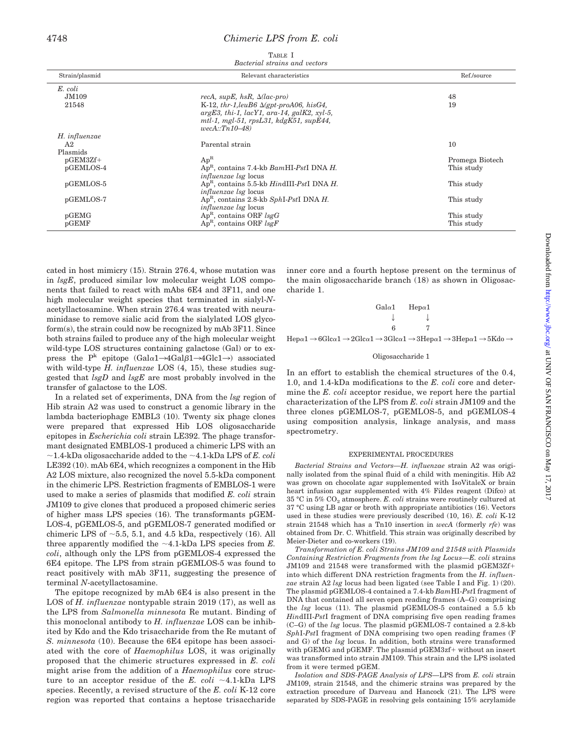### TABLE I 4748 *Chimeric LPS from E. coli*

| Bacterial strains and vectors |                                                                                                                                                                                |                 |  |  |  |  |
|-------------------------------|--------------------------------------------------------------------------------------------------------------------------------------------------------------------------------|-----------------|--|--|--|--|
| Strain/plasmid                | Relevant characteristics                                                                                                                                                       | Ref./source     |  |  |  |  |
| E. coli                       |                                                                                                                                                                                |                 |  |  |  |  |
| JM109                         | recA, supE, hsR, $\Delta (lac-pro)$                                                                                                                                            | 48              |  |  |  |  |
| 21548                         | K-12, thr-1, leuB6 $\Delta$ (gpt-proA06, his G4,<br>$argE3$ , thi-1, $lacY1$ , $ara-14$ , $galK2$ , $xyl-5$ ,<br>mtl-1, mgl-51, rpsL31, kdg $K51$ , supE44,<br>$wecA::Tn10-48$ | 19              |  |  |  |  |
| H. influenzae                 |                                                                                                                                                                                |                 |  |  |  |  |
| A <sub>2</sub>                | Parental strain                                                                                                                                                                | 10              |  |  |  |  |
| Plasmids                      |                                                                                                                                                                                |                 |  |  |  |  |
| $pGEM3Zf+$                    | $Ap^R$                                                                                                                                                                         | Promega Biotech |  |  |  |  |
| pGEMLOS-4                     | $ApR$ , contains 7.4-kb $BamHI-PstI$ DNA H.<br><i>influenzae lsg</i> locus                                                                                                     | This study      |  |  |  |  |
| pGEMLOS-5                     | $ApR$ , contains 5.5-kb HindIII-PstI DNA H.<br><i>influenzae lsg</i> locus                                                                                                     | This study      |  |  |  |  |
| $pGEMLOS-7$                   | $ApR$ , contains 2.8-kb SphI-PstI DNA H.<br><i>influenzae lsg</i> locus                                                                                                        | This study      |  |  |  |  |
| pGEMG                         | $Ap^R$ , contains ORF $lsgG$                                                                                                                                                   | This study      |  |  |  |  |
| pGEMF                         | $Ap^R$ , contains ORF lsgF                                                                                                                                                     | This study      |  |  |  |  |

cated in host mimicry (15). Strain 276.4, whose mutation was in *lsgE*, produced similar low molecular weight LOS components that failed to react with mAbs 6E4 and 3F11, and one high molecular weight species that terminated in sialyl-*N*acetyllactosamine. When strain 276.4 was treated with neuraminidase to remove sialic acid from the sialylated LOS glycoform(s), the strain could now be recognized by mAb 3F11. Since both strains failed to produce any of the high molecular weight wild-type LOS structures containing galactose (Gal) or to express the P<sup>k</sup> epitope (Gala1 $\rightarrow$ 4Gal $\beta$ 1 $\rightarrow$ 4Glc1 $\rightarrow$ ) associated with wild-type *H. influenzae* LOS (4, 15), these studies suggested that *lsgD* and *lsgE* are most probably involved in the transfer of galactose to the LOS.

In a related set of experiments, DNA from the *lsg* region of Hib strain A2 was used to construct a genomic library in the lambda bacteriophage EMBL3 (10). Twenty six phage clones were prepared that expressed Hib LOS oligosaccharide epitopes in *Escherichia coli* strain LE392. The phage transformant designated EMBLOS-1 produced a chimeric LPS with an  $\sim$ 1.4-kDa oligosaccharide added to the  $\sim$ 4.1-kDa LPS of *E. coli* LE392 (10). mAb 6E4, which recognizes a component in the Hib A2 LOS mixture, also recognized the novel 5.5-kDa component in the chimeric LPS. Restriction fragments of EMBLOS-1 were used to make a series of plasmids that modified *E. coli* strain JM109 to give clones that produced a proposed chimeric series of higher mass LPS species (16). The transformants pGEM-LOS-4, pGEMLOS-5, and pGEMLOS-7 generated modified or chimeric LPS of  $\sim$  5.5, 5.1, and 4.5 kDa, respectively (16). All three apparently modified the  $\sim$ 4.1-kDa LPS species from *E*. *coli*, although only the LPS from pGEMLOS-4 expressed the 6E4 epitope. The LPS from strain pGEMLOS-5 was found to react positively with mAb 3F11, suggesting the presence of terminal *N*-acetyllactosamine.

The epitope recognized by mAb 6E4 is also present in the LOS of *H. influenzae* nontypable strain 2019 (17), as well as the LPS from *Salmonella minnesota* Re mutant. Binding of this monoclonal antibody to *H. influenzae* LOS can be inhibited by Kdo and the Kdo trisaccharide from the Re mutant of *S. minnesota* (10). Because the 6E4 epitope has been associated with the core of *Haemophilus* LOS, it was originally proposed that the chimeric structures expressed in *E. coli* might arise from the addition of a *Haemophilus* core structure to an acceptor residue of the  $E$ .  $\text{coli} \sim 4.1$ -kDa LPS species. Recently, a revised structure of the *E. coli* K-12 core region was reported that contains a heptose trisaccharide

inner core and a fourth heptose present on the terminus of the main oligosaccharide branch (18) as shown in Oligosaccharide 1.

|                                                                                                                                                                         | $Gal \alpha 1$ Hep $\alpha 1$ |  |
|-------------------------------------------------------------------------------------------------------------------------------------------------------------------------|-------------------------------|--|
|                                                                                                                                                                         | $\mathbb{L}$ , $\mathbb{L}$   |  |
|                                                                                                                                                                         | $6 \overline{7}$              |  |
| $Hep\alpha 1 \rightarrow 6Glc\alpha 1 \rightarrow 2Glc\alpha 1 \rightarrow 3Glc\alpha 1 \rightarrow 3Hep\alpha 1 \rightarrow 3Hep\alpha 1 \rightarrow 5Kdo \rightarrow$ |                               |  |

#### Oligosaccharide 1

In an effort to establish the chemical structures of the 0.4, 1.0, and 1.4-kDa modifications to the *E. coli* core and determine the *E. coli* acceptor residue, we report here the partial characterization of the LPS from *E. coli* strain JM109 and the three clones pGEMLOS-7, pGEMLOS-5, and pGEMLOS-4 using composition analysis, linkage analysis, and mass spectrometry.

#### EXPERIMENTAL PROCEDURES

*Bacterial Strains and Vectors—H. influenzae* strain A2 was originally isolated from the spinal fluid of a child with meningitis. Hib A2 was grown on chocolate agar supplemented with IsoVitaleX or brain heart infusion agar supplemented with 4% Fildes reagent (Difco) at 35 °C in 5% CO2 atmosphere. *E. coli* strains were routinely cultured at 37 °C using LB agar or broth with appropriate antibiotics (16). Vectors used in these studies were previously described (10, 16). *E. coli* K-12 strain 21548 which has a Tn10 insertion in *wecA* (formerly *rfe*) was obtained from Dr. C. Whitfield. This strain was originally described by Meier-Dieter and co-workers (19).

*Transformation of E. coli Strains JM109 and 21548 with Plasmids Containing Restriction Fragments from the lsg Locus—E. coli* strains JM109 and 21548 were transformed with the plasmid  $pGEM3Zf+$ into which different DNA restriction fragments from the *H. influenzae* strain A2 *lsg* locus had been ligated (see Table I and Fig. 1) (20). The plasmid pGEMLOS-4 contained a 7.4-kb *Bam*HI-*Pst*I fragment of DNA that contained all seven open reading frames (A–G) comprising the *lsg* locus (11). The plasmid pGEMLOS-5 contained a 5.5 kb *Hin*dIII-*Pst*I fragment of DNA comprising five open reading frames (C–G) of the *lsg* locus. The plasmid pGEMLOS-7 contained a 2.8-kb *Sph*I-*Pst*I fragment of DNA comprising two open reading frames (F and G) of the *lsg* locus. In addition, both strains were transformed with pGEMG and pGEMF. The plasmid pGEM3zf+ without an insert was transformed into strain JM109. This strain and the LPS isolated from it were termed pGEM.

*Isolation and SDS-PAGE Analysis of LPS—*LPS from *E. coli* strain JM109, strain 21548, and the chimeric strains was prepared by the extraction procedure of Darveau and Hancock (21). The LPS were separated by SDS-PAGE in resolving gels containing 15% acrylamide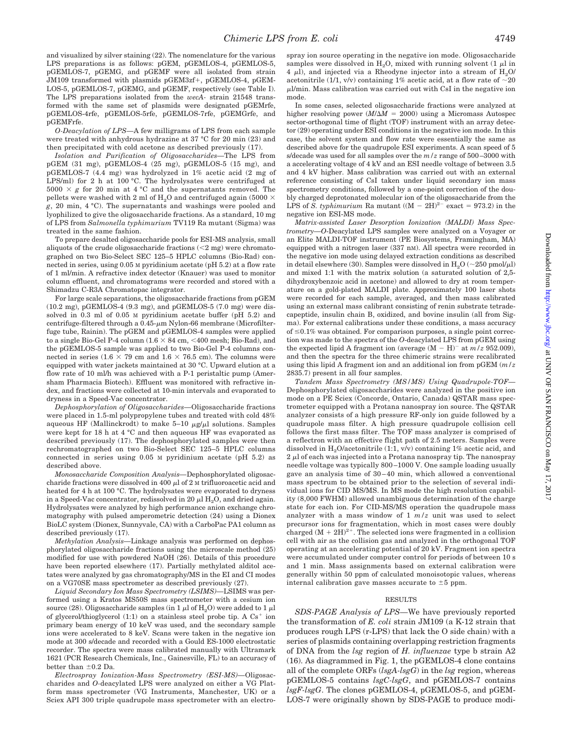and visualized by silver staining (22). The nomenclature for the various LPS preparations is as follows: pGEM, pGEMLOS-4, pGEMLOS-5, pGEMLOS-7, pGEMG, and pGEMF were all isolated from strain JM109 transformed with plasmids pGEM3zf+, pGEMLOS-4, pGEM-LOS-5, pGEMLOS-7, pGEMG, and pGEMF, respectively (see Table I). The LPS preparations isolated from the *wecA-* strain 21548 transformed with the same set of plasmids were designated pGEMrfe, pGEMLOS-4rfe, pGEMLOS-5rfe, pGEMLOS-7rfe, pGEMGrfe, and pGEMFrfe.

*O-Deacylation of LPS—*A few milligrams of LPS from each sample were treated with anhydrous hydrazine at 37 °C for 20 min (23) and then precipitated with cold acetone as described previously (17).

*Isolation and Purification of Oligosaccharides—*The LPS from pGEM (31 mg), pGEMLOS-4 (25 mg), pGEMLOS-5 (15 mg), and pGEMLOS-7 (4.4 mg) was hydrolyzed in 1% acetic acid (2 mg of LPS/ml) for 2 h at 100 °C. The hydrolysates were centrifuged at  $5000 \times g$  for 20 min at 4 °C and the supernatants removed. The pellets were washed with 2 ml of  $H_2O$  and centrifuged again (5000  $\times$ *g*, 20 min, 4 °C). The supernatants and washings were pooled and lyophilized to give the oligosaccharide fractions. As a standard, 10 mg of LPS from *Salmonella typhimurium* TV119 Ra mutant (Sigma) was treated in the same fashion.

To prepare desalted oligosaccharide pools for ESI-MS analysis, small aliquots of the crude oligosaccharide fractions  $(< 2$  mg) were chromatographed on two Bio-Select SEC 125–5 HPLC columns (Bio-Rad) connected in series, using 0.05 M pyridinium acetate (pH 5.2) at a flow rate of 1 ml/min. A refractive index detector (Knauer) was used to monitor column effluent, and chromatograms were recorded and stored with a Shimadzu C-R3A Chromatopac integrator.

For large scale separations, the oligosaccharide fractions from pGEM (10.2 mg), pGEMLOS-4 (9.3 mg), and pGEMLOS-5 (7.0 mg) were dissolved in 0.3 ml of 0.05 M pyridinium acetate buffer (pH 5.2) and centrifuge-filtered through a  $0.45$ - $\mu$ m Nylon-66 membrane (Microfilterfuge tube, Rainin). The pGEM and pGEMLOS-4 samples were applied to a single Bio-Gel P-4 column  $(1.6 \times 84 \text{ cm}, \leq 400 \text{ mesh};$  Bio-Rad), and the pGEMLOS-5 sample was applied to two Bio-Gel P-4 columns connected in series (1.6  $\times$  79 cm and 1.6  $\times$  76.5 cm). The columns were equipped with water jackets maintained at 30 °C. Upward elution at a flow rate of 10 ml/h was achieved with a P-1 peristaltic pump (Amersham Pharmacia Biotech). Effluent was monitored with refractive index, and fractions were collected at 10-min intervals and evaporated to dryness in a Speed-Vac concentrator.

*Dephosphorylation of Oligosaccharides—*Oligosaccharide fractions were placed in 1.5-ml polypropylene tubes and treated with cold 48% aqueous HF (Mallinckrodt) to make  $5-10 \mu g/\mu l$  solutions. Samples were kept for 18 h at 4 °C and then aqueous HF was evaporated as described previously (17). The dephosphorylated samples were then rechromatographed on two Bio-Select SEC 125–5 HPLC columns connected in series using 0.05 M pyridinium acetate (pH 5.2) as described above.

*Monosaccharide Composition Analysis—*Dephosphorylated oligosaccharide fractions were dissolved in 400  $\mu$ l of 2 M trifluoroacetic acid and heated for 4 h at 100 °C. The hydrolysates were evaporated to dryness in a Speed-Vac concentrator, redissolved in 20  $\mu$ l H<sub>2</sub>O, and dried again. Hydrolysates were analyzed by high performance anion exchange chromatography with pulsed amperometric detection (24) using a Dionex BioLC system (Dionex, Sunnyvale, CA) with a CarboPac PA1 column as described previously (17).

*Methylation Analysis—*Linkage analysis was performed on dephosphorylated oligosaccharide fractions using the microscale method (25) modified for use with powdered NaOH (26). Details of this procedure have been reported elsewhere (17). Partially methylated alditol acetates were analyzed by gas chromatography/MS in the EI and CI modes on a VG70SE mass spectrometer as described previously (27).

*Liquid Secondary Ion Mass Spectrometry (LSIMS)—*LSIMS was performed using a Kratos MS50S mass spectrometer with a cesium ion source (28). Oligosaccharide samples (in 1  $\mu$ l of H<sub>2</sub>O) were added to 1  $\mu$ l of glycerol/thioglycerol (1:1) on a stainless steel probe tip. A  $Cs^+$  ion primary beam energy of 10 keV was used, and the secondary sample ions were accelerated to 8 keV. Scans were taken in the negative ion mode at 300 s/decade and recorded with a Gould ES-1000 electrostatic recorder. The spectra were mass calibrated manually with Ultramark 1621 (PCR Research Chemicals, Inc., Gainesville, FL) to an accuracy of better than  $\pm 0.2$  Da.

*Electrospray Ionization-Mass Spectrometry (ESI-MS)—*Oligosaccharides and *O-*deacylated LPS were analyzed on either a VG Platform mass spectrometer (VG Instruments, Manchester, UK) or a Sciex API 300 triple quadrupole mass spectrometer with an electro-

spray ion source operating in the negative ion mode. Oligosaccharide samples were dissolved in H<sub>2</sub>O, mixed with running solvent  $(1 \mu)$  in 4  $\mu$ l), and injected via a Rheodyne injector into a stream of H<sub>2</sub>O/ acetonitrile (1/1, v/v) containing 1% acetic acid, at a flow rate of  $\sim$ 20  $\mu$ /min. Mass calibration was carried out with CsI in the negative ion mode.

In some cases, selected oligosaccharide fractions were analyzed at higher resolving power  $(M/\Delta M = 2000)$  using a Micromass Autospec sector-orthogonal time of flight (TOF) instrument with an array detector (29) operating under ESI conditions in the negative ion mode. In this case, the solvent system and flow rate were essentially the same as described above for the quadrupole ESI experiments. A scan speed of 5 s/decade was used for all samples over the *m/z* range of 500–3000 with a accelerating voltage of 4 kV and an ESI needle voltage of between 3.5 and 4 kV higher. Mass calibration was carried out with an external reference consisting of CsI taken under liquid secondary ion mass spectrometry conditions, followed by a one-point correction of the doubly charged deprotonated molecular ion of the oligosaccharide from the LPS of *S. typhimurium* Ra mutant  $((M - 2H)^2 - \text{exact} = 973.2)$  in the negative ion ESI-MS mode.

*Matrix-assisted Laser Desorption Ionization (MALDI) Mass Spectrometry—O*-Deacylated LPS samples were analyzed on a Voyager or an Elite MALDI-TOF instrument (PE Biosystems, Framingham, MA) equipped with a nitrogen laser (337 nM). All spectra were recorded in the negative ion mode using delayed extraction conditions as described in detail elsewhere (30). Samples were dissolved in  $H_2O$  ( $\sim$ 250 pmol/ $\mu$ l) and mixed 1:1 with the matrix solution (a saturated solution of 2,5 dihydroxybenzoic acid in acetone) and allowed to dry at room temperature on a gold-plated MALDI plate. Approximately 100 laser shots were recorded for each sample, averaged, and then mass calibrated using an external mass calibrant consisting of renin substrate tetradecapeptide, insulin chain B, oxidized, and bovine insulin (all from Sigma). For external calibrations under these conditions, a mass accuracy of  $\leq 0.1\%$  was obtained. For comparison purposes, a single point correction was made to the spectra of the *O*-deacylated LPS from pGEM using the expected lipid A fragment ion (average  $(M - H)^{-}$  at  $m/z$  952.009), and then the spectra for the three chimeric strains were recalibrated using this lipid A fragment ion and an additional ion from pGEM (*m/z* 2835.7) present in all four samples.

*Tandem Mass Spectrometry (MS/MS) Using Quadrupole-TOF—* Dephosphorylated oligosaccharides were analyzed in the positive ion mode on a PE Sciex (Concorde, Ontario, Canada) QSTAR mass spectrometer equipped with a Protana nanospray ion source. The QSTAR analyzer consists of a high pressure RF-only ion guide followed by a quadrupole mass filter. A high pressure quadrupole collision cell follows the first mass filter. The TOF mass analyzer is comprised of a reflectron with an effective flight path of 2.5 meters. Samples were dissolved in  $H_2O/$ acetonitrile (1:1, v/v) containing 1% acetic acid, and $2 \mu$  of each was injected into a Protana nanospray tip. The nanospray needle voltage was typically 800–1000 V. One sample loading usually gave an analysis time of 30–40 min, which allowed a conventional mass spectrum to be obtained prior to the selection of several individual ions for CID MS/MS. In MS mode the high resolution capability (8,000 FWHM) allowed unambiguous determination of the charge state for each ion. For CID-MS/MS operation the quadrupole mass analyzer with a mass window of 1 *m/z* unit was used to select precursor ions for fragmentation, which in most cases were doubly charged  $(M + 2H)^{2+}$ . The selected ions were fragmented in a collision cell with air as the collision gas and analyzed in the orthogonal TOF operating at an accelerating potential of 20 kV. Fragment ion spectra were accumulated under computer control for periods of between 10 s and 1 min. Mass assignments based on external calibration were generally within 50 ppm of calculated monoisotopic values, whereas internal calibration gave masses accurate to  $\pm 5$  ppm.

#### RESULTS

*SDS-PAGE Analysis of LPS—*We have previously reported the transformation of *E. coli* strain JM109 (a K-12 strain that produces rough LPS (r-LPS) that lack the O side chain) with a series of plasmids containing overlapping restriction fragments of DNA from the *lsg* region of *H. influenzae* type b strain A2 (16). As diagrammed in Fig. 1, the pGEMLOS-4 clone contains all of the complete ORFs (*lsgA-lsgG*) in the *lsg* region, whereas pGEMLOS-5 contains *lsgC-lsgG*, and pGEMLOS-7 contains *lsgF-lsgG*. The clones pGEMLOS-4, pGEMLOS-5, and pGEM-LOS-7 were originally shown by SDS-PAGE to produce modi-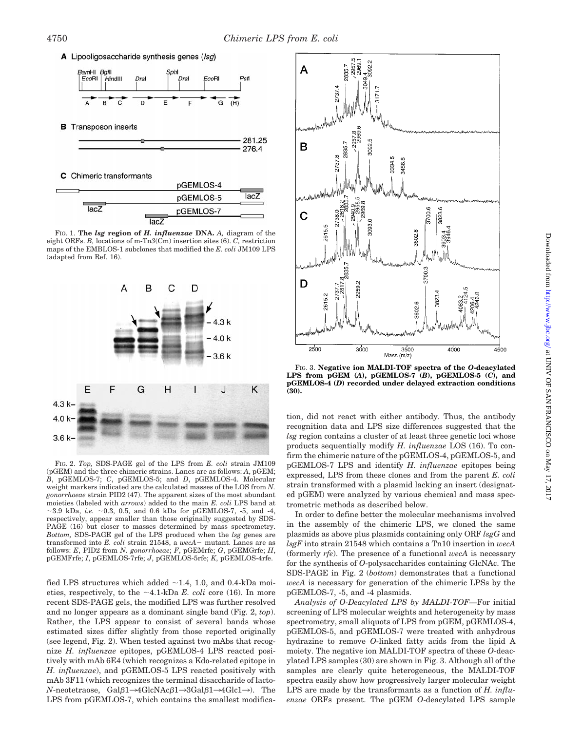



**B** Transposon inserts

281.25 276.4

C Chimeric transformants

|      | pGEMLOS-4 |      |
|------|-----------|------|
|      | pGEMLOS-5 | lacZ |
| lacZ | pGEMLOS-7 |      |
|      | $\sim$    |      |

FIG. 1. **The** *lsg* **region of** *H. influenzae* **DNA.** *A,* diagram of the eight ORFs. *B,* locations of m-Tn*3*(Cm) insertion sites (6). *C,* restriction maps of the EMBLOS-1 subclones that modified the *E. coli* JM109 LPS (adapted from Ref. 16).



FIG. 2. *Top,* SDS-PAGE gel of the LPS from *E. coli* strain JM109 (pGEM) and the three chimeric strains. Lanes are as follows: *A*, pGEM; *B*, pGEMLOS-7; *C*, pGEMLOS-5; and *D*, pGEMLOS-4. Molecular weight markers indicated are the calculated masses of the LOS from *N. gonorrhoeae* strain PID2 (47). The apparent sizes of the most abundant moieties (labeled with *arrows*) added to the main *E. coli* LPS band at  $\sim$ 3.9 kDa, *i.e.*  $\sim$ 0.3, 0.5, and 0.6 kDa for pGEMLOS-7, -5, and -4, respectively, appear smaller than those originally suggested by SDS-PAGE (16) but closer to masses determined by mass spectrometry. *Bottom,* SDS-PAGE gel of the LPS produced when the *lsg* genes are transformed into *E. coli* strain 21548, a wecA- mutant. Lanes are as follows: *E*, PID2 from *N. gonorrhoeae*; *F*, pGEMrfe; *G*, pGEMGrfe; *H*, pGEMFrfe; *I*, pGEMLOS-7rfe; *J*, pGEMLOS-5rfe; *K*, pGEMLOS-4rfe.

fied LPS structures which added  $\sim$ 1.4, 1.0, and 0.4-kDa moieties, respectively, to the  $\sim$ 4.1-kDa *E. coli* core (16). In more recent SDS-PAGE gels, the modified LPS was further resolved and no longer appears as a dominant single band (Fig. 2, *top*). Rather, the LPS appear to consist of several bands whose estimated sizes differ slightly from those reported originally (see legend, Fig. 2). When tested against two mAbs that recognize *H. influenzae* epitopes, pGEMLOS-4 LPS reacted positively with mAb 6E4 (which recognizes a Kdo-related epitope in *H. influenzae*), and pGEMLOS-5 LPS reacted positively with mAb 3F11 (which recognizes the terminal disaccharide of lacto-*N*-neotetraose, Gal $\beta$ 1 $\rightarrow$ 4GlcNAc $\beta$ 1 $\rightarrow$ 3Gal $\beta$ 1 $\rightarrow$ 4Glc1 $\rightarrow$ ). The LPS from pGEMLOS-7, which contains the smallest modifica-



FIG. 3. **Negative ion MALDI-TOF spectra of the** *O***-deacylated LPS from pGEM (***A***), pGEMLOS-7 (***B***), pGEMLOS-5 (***C***), and pGEMLOS-4 (***D***) recorded under delayed extraction conditions (30).**

tion, did not react with either antibody. Thus, the antibody recognition data and LPS size differences suggested that the *lsg* region contains a cluster of at least three genetic loci whose products sequentially modify *H. influenzae* LOS (16). To confirm the chimeric nature of the pGEMLOS-4, pGEMLOS-5, and pGEMLOS-7 LPS and identify *H. influenzae* epitopes being expressed, LPS from these clones and from the parent *E. coli* strain transformed with a plasmid lacking an insert (designated pGEM) were analyzed by various chemical and mass spectrometric methods as described below.

In order to define better the molecular mechanisms involved in the assembly of the chimeric LPS, we cloned the same plasmids as above plus plasmids containing only ORF *lsgG* and *lsgF* into strain 21548 which contains a Tn10 insertion in *wecA* (formerly *rfe*). The presence of a functional *wecA* is necessary for the synthesis of *O*-polysaccharides containing GlcNAc. The SDS-PAGE in Fig. 2 (*bottom*) demonstrates that a functional *wecA* is necessary for generation of the chimeric LPSs by the pGEMLOS-7, -5, and -4 plasmids.

*Analysis of O-Deacylated LPS by MALDI-TOF—*For initial screening of LPS molecular weights and heterogeneity by mass spectrometry, small aliquots of LPS from pGEM, pGEMLOS-4, pGEMLOS-5, and pGEMLOS-7 were treated with anhydrous hydrazine to remove *O*-linked fatty acids from the lipid A moiety. The negative ion MALDI-TOF spectra of these *O*-deacylated LPS samples (30) are shown in Fig. 3. Although all of the samples are clearly quite heterogeneous, the MALDI-TOF spectra easily show how progressively larger molecular weight LPS are made by the transformants as a function of *H. influenzae* ORFs present. The pGEM *O*-deacylated LPS sample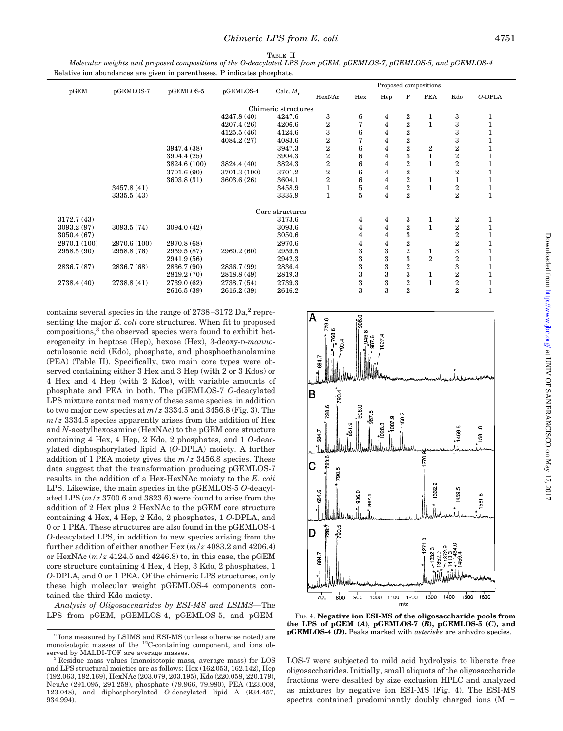TABLE II *Molecular weights and proposed compositions of the O-deacylated LPS from pGEM, pGEMLOS-7, pGEMLOS-5, and pGEMLOS-4* Relative ion abundances are given in parentheses. P indicates phosphate.

| pGEM         |              | pGEMLOS-5    |              |                     |                  |     |                         | Proposed compositions   |                  |                  |          |
|--------------|--------------|--------------|--------------|---------------------|------------------|-----|-------------------------|-------------------------|------------------|------------------|----------|
|              | pGEMLOS-7    |              | pGEMLOS-4    | Calc. $M_r$         | HexNAc           | Hex | Hep                     | $\mathbf P$             | <b>PEA</b>       | Kdo              | $O-DPLA$ |
|              |              |              |              | Chimeric structures |                  |     |                         |                         |                  |                  |          |
|              |              |              | 4247.8 (40)  | 4247.6              | 3                | 6   | $\overline{\mathbf{4}}$ |                         |                  | 3                |          |
|              |              |              | 4207.4 (26)  | 4206.6              | $\overline{2}$   | 7   | $\overline{4}$          | $\frac{2}{2}$           | $\frac{1}{1}$    | $\,3$            |          |
|              |              |              | 4125.5(46)   | 4124.6              | 3                | 6   | $\overline{4}$          | $\overline{2}$          |                  | 3                |          |
|              |              |              | 4084.2(27)   | 4083.6              | $\overline{2}$   |     | 4                       |                         |                  | 3                |          |
|              |              | 3947.4 (38)  |              | 3947.3              | $\overline{2}$   | 6   | $\overline{\mathbf{4}}$ | $\frac{2}{2}$           | $\boldsymbol{2}$ | $\,2$            |          |
|              |              | 3904.4 (25)  |              | 3904.3              | $\overline{2}$   | 6   | $\overline{4}$          | $\bf{3}$                | $\mathbf{1}$     | $\,2$            |          |
|              |              | 3824.6 (100) | 3824.4 (40)  | 3824.3              | $\boldsymbol{2}$ | 6   | $\overline{4}$          | $\,2$                   | $\mathbf{1}$     | $\overline{2}$   |          |
|              |              | 3701.6 (90)  | 3701.3 (100) | 3701.2              | $\,2$            | 6   | $\overline{4}$          | $\,2$                   |                  | $\overline{2}$   |          |
|              |              | 3603.8(31)   | 3603.6(26)   | 3604.1              | $\overline{2}$   | 6   | $\overline{4}$          | $\sqrt{2}$              |                  | 1                |          |
|              | 3457.8 (41)  |              |              | 3458.9              |                  | 5   | $\overline{\mathbf{4}}$ | $\overline{2}$          | $\mathbf{1}$     | $\,2$            |          |
|              | 3335.5(43)   |              |              | 3335.9              | $\mathbf{1}$     | 5   | $\overline{4}$          | $\overline{2}$          |                  | $\overline{2}$   | 1        |
|              |              |              |              | Core structures     |                  |     |                         |                         |                  |                  |          |
| 3172.7 (43)  |              |              |              | 3173.6              |                  | 4   | $\overline{\mathbf{4}}$ | 3                       | 1                | $\,2$            |          |
| 3093.2 (97)  | 3093.5 (74)  | 3094.0(42)   |              | 3093.6              |                  | 4   | $\overline{4}$          | $\overline{2}$          | $\mathbf{1}$     | $\overline{2}$   |          |
| 3050.4(67)   |              |              |              | 3050.6              |                  | 4   | $\overline{4}$          | $\bf{3}$                |                  | $\,2$            |          |
| 2970.1 (100) | 2970.6 (100) | 2970.8 (68)  |              | 2970.6              |                  | 4   | $\overline{\mathbf{4}}$ | $\overline{\mathbf{2}}$ |                  | $\boldsymbol{2}$ |          |
| 2958.5 (90)  | 2958.8 (76)  | 2959.5 (87)  | 2960.2(60)   | 2959.5              |                  | 3   | 3                       | $\overline{2}$          |                  | $\,3$            |          |
|              |              | 2941.9 (56)  |              | 2942.3              |                  | 3   | 3                       | 3                       | $\overline{2}$   | $\,2\,$          |          |
| 2836.7 (87)  | 2836.7 (68)  | 2836.7 (90)  | 2836.7 (99)  | 2836.4              |                  | 3   | 3                       | $\,2\,$                 |                  | 3                |          |
|              |              | 2819.2 (70)  | 2818.8(49)   | 2819.3              |                  | 3   | 3                       | 3                       | 1                | $\boldsymbol{2}$ |          |
| 2738.4 (40)  | 2738.8 (41)  | 2739.0 (62)  | 2738.7 (54)  | 2739.3              |                  | 3   | $\boldsymbol{3}$        | $\,2$                   | $\mathbf{1}$     | $\,2$            |          |
|              |              | 2616.5(39)   | 2616.2 (39)  | 2616.2              |                  | 3   | 3                       | $\overline{2}$          |                  | $\overline{2}$   |          |

contains several species in the range of  $2738-3172$  Da,<sup>2</sup> representing the major *E. coli* core structures. When fit to proposed compositions,<sup>3</sup> the observed species were found to exhibit heterogeneity in heptose (Hep), hexose (Hex), 3-deoxy-D-*manno*octulosonic acid (Kdo), phosphate, and phosphoethanolamine (PEA) (Table II). Specifically, two main core types were observed containing either 3 Hex and 3 Hep (with 2 or 3 Kdos) or 4 Hex and 4 Hep (with 2 Kdos), with variable amounts of phosphate and PEA in both. The pGEMLOS-7 *O*-deacylated LPS mixture contained many of these same species, in addition to two major new species at  $m/z$  3334.5 and 3456.8 (Fig. 3). The *m/z* 3334.5 species apparently arises from the addition of Hex and *N*-acetylhexosamine (HexNAc) to the pGEM core structure containing 4 Hex, 4 Hep, 2 Kdo, 2 phosphates, and 1 *O*-deacylated diphosphorylated lipid A (*O*-DPLA) moiety. A further addition of 1 PEA moiety gives the *m/z* 3456.8 species. These data suggest that the transformation producing pGEMLOS-7 results in the addition of a Hex-HexNAc moiety to the *E. coli* LPS. Likewise, the main species in the pGEMLOS-5 *O*-deacylated LPS (*m/z* 3700.6 and 3823.6) were found to arise from the addition of 2 Hex plus 2 HexNAc to the pGEM core structure containing 4 Hex, 4 Hep, 2 Kdo, 2 phosphates, 1 *O*-DPLA, and 0 or 1 PEA. These structures are also found in the pGEMLOS-4 *O*-deacylated LPS, in addition to new species arising from the further addition of either another Hex (*m/z* 4083.2 and 4206.4) or HexNAc  $(m/z 4124.5$  and  $4246.8)$  to, in this case, the pGEM core structure containing 4 Hex, 4 Hep, 3 Kdo, 2 phosphates, 1 *O*-DPLA, and 0 or 1 PEA. Of the chimeric LPS structures, only these high molecular weight pGEMLOS-4 components contained the third Kdo moiety.

*Analysis of Oligosaccharides by ESI-MS and LSIMS—*The LPS from pGEM, pGEMLOS-4, pGEMLOS-5, and pGEM-



FIG. 4. **Negative ion ESI-MS of the oligosaccharide pools from the LPS of pGEM (***A***), pGEMLOS-7 (***B***), pGEMLOS-5 (***C***), and pGEMLOS-4 (***D***).** Peaks marked with *asterisks* are anhydro species.

LOS-7 were subjected to mild acid hydrolysis to liberate free oligosaccharides. Initially, small aliquots of the oligosaccharide fractions were desalted by size exclusion HPLC and analyzed as mixtures by negative ion ESI-MS (Fig. 4). The ESI-MS spectra contained predominantly doubly charged ions  $(M -$ 

 $^{\rm 2}$  Ions measured by LSIMS and ESI-MS (unless otherwise noted) are monoisotopic masses of the  $^{12}$ C-containing component, and ions observed by MALDI-TOF are average masses.

<sup>&</sup>lt;sup>3</sup> Residue mass values (monoisotopic mass, average mass) for LOS and LPS structural moieties are as follows: Hex (162.053, 162.142), Hep (192.063, 192.169), HexNAc (203.079, 203.195), Kdo (220.058, 220.179), NeuAc (291.095, 291.258), phosphate (79.966, 79.980), PEA (123.008, 123.048), and diphosphorylated *O*-deacylated lipid A (934.457, 934.994).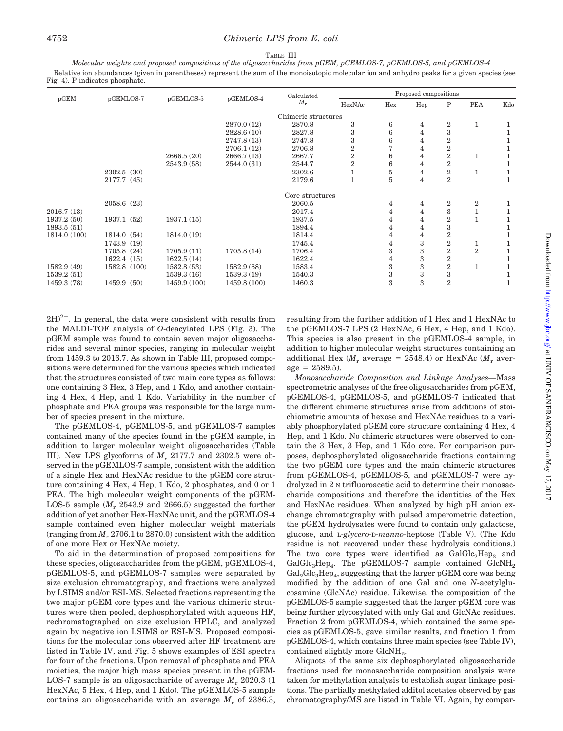TABLE III

*Molecular weights and proposed compositions of the oligosaccharides from pGEM, pGEMLOS-7, pGEMLOS-5, and pGEMLOS-4* Relative ion abundances (given in parentheses) represent the sum of the monoisotopic molecular ion and anhydro peaks for a given species (see Fig. 4). P indicates phosphate.

|              | pGEMLOS-7    |              | pGEMLOS-4    | Calculated<br>$M_{\rm r}$ |                | Proposed compositions |                |                         |                |     |  |
|--------------|--------------|--------------|--------------|---------------------------|----------------|-----------------------|----------------|-------------------------|----------------|-----|--|
| pGEM         |              | pGEMLOS-5    |              |                           | HexNAc         | Hex                   | Hep            | $\mathbf{P}$            | <b>PEA</b>     | Kdo |  |
|              |              |              |              | Chimeric structures       |                |                       |                |                         |                |     |  |
|              |              |              | 2870.0 (12)  | 2870.8                    | 3              | 6                     | 4              | $\boldsymbol{2}$        | 1              |     |  |
|              |              |              | 2828.6 (10)  | 2827.8                    | 3              | 6                     | $\overline{4}$ | 3                       |                |     |  |
|              |              |              | 2747.8 (13)  | 2747.8                    | 3              | 6                     | 4              | $\boldsymbol{2}$        |                |     |  |
|              |              |              | 2706.1(12)   | 2706.8                    | $\overline{2}$ |                       | $\overline{4}$ | $\overline{2}$          |                |     |  |
|              |              | 2666.5(20)   | 2666.7(13)   | 2667.7                    | $\overline{2}$ | 6                     | 4              | $\overline{2}$          |                |     |  |
|              |              | 2543.9 (58)  | 2544.0(31)   | 2544.7                    | $\overline{2}$ | 6                     | 4              | $\overline{\mathbf{2}}$ |                |     |  |
|              | 2302.5(30)   |              |              | 2302.6                    |                | 5                     | 4              | $\overline{2}$          |                |     |  |
|              | 2177.7 (45)  |              |              | 2179.6                    |                | 5                     | $\overline{4}$ | $\overline{2}$          |                |     |  |
|              |              |              |              | Core structures           |                |                       |                |                         |                |     |  |
|              | 2058.6 (23)  |              |              | 2060.5                    |                | 4                     | 4              | $\overline{2}$          | $\overline{2}$ |     |  |
| 2016.7(13)   |              |              |              | 2017.4                    |                | 4                     | 4              | $\,3$                   | 1              |     |  |
| 1937.2(50)   | 1937.1 (52)  | 1937.1(15)   |              | 1937.5                    |                | 4                     | $\overline{4}$ | $\overline{\mathbf{2}}$ |                |     |  |
| 1893.5(51)   |              |              |              | 1894.4                    |                | 4                     | 4              | 3                       |                |     |  |
| 1814.0 (100) | 1814.0 (54)  | 1814.0(19)   |              | 1814.4                    |                | 4                     | 4              | $\overline{\mathbf{2}}$ |                |     |  |
|              | 1743.9 (19)  |              |              | 1745.4                    |                | 4                     | 3              | $\overline{2}$          | 1              |     |  |
|              | 1705.8 (24)  | 1705.9(11)   | 1705.8(14)   | 1706.4                    |                | 3                     | 3              | $\overline{2}$          | $\overline{2}$ |     |  |
|              | 1622.4(15)   | 1622.5(14)   |              | 1622.4                    |                | 4                     | 3              | $\overline{2}$          |                |     |  |
| 1582.9 (49)  | 1582.8 (100) | 1582.8(53)   | 1582.9 (68)  | 1583.4                    |                | 3                     | 3              | $\overline{2}$          | 1              |     |  |
| 1539.2(51)   |              | 1539.3(16)   | 1539.3(19)   | 1540.3                    |                | 3                     | 3              | 3                       |                |     |  |
| 1459.3 (78)  | 1459.9 (50)  | 1459.9 (100) | 1459.8 (100) | 1460.3                    |                | 3                     | 3              | $\overline{2}$          |                |     |  |

 $2H$ <sup>2-</sup>. In general, the data were consistent with results from the MALDI-TOF analysis of *O*-deacylated LPS (Fig. 3). The pGEM sample was found to contain seven major oligosaccharides and several minor species, ranging in molecular weight from 1459.3 to 2016.7. As shown in Table III, proposed compositions were determined for the various species which indicated that the structures consisted of two main core types as follows: one containing 3 Hex, 3 Hep, and 1 Kdo, and another containing 4 Hex, 4 Hep, and 1 Kdo. Variability in the number of phosphate and PEA groups was responsible for the large number of species present in the mixture.

The pGEMLOS-4, pGEMLOS-5, and pGEMLOS-7 samples contained many of the species found in the pGEM sample, in addition to larger molecular weight oligosaccharides (Table III). New LPS glycoforms of  $M_r$  2177.7 and 2302.5 were observed in the pGEMLOS-7 sample, consistent with the addition of a single Hex and HexNAc residue to the pGEM core structure containing 4 Hex, 4 Hep, 1 Kdo, 2 phosphates, and 0 or 1 PEA. The high molecular weight components of the pGEM-LOS-5 sample  $(M<sub>r</sub> 2543.9$  and 2666.5) suggested the further addition of yet another Hex-HexNAc unit, and the pGEMLOS-4 sample contained even higher molecular weight materials (ranging from  $M_r$  2706.1 to 2870.0) consistent with the addition of one more Hex or HexNAc moiety.

To aid in the determination of proposed compositions for these species, oligosaccharides from the pGEM, pGEMLOS-4, pGEMLOS-5, and pGEMLOS-7 samples were separated by size exclusion chromatography, and fractions were analyzed by LSIMS and/or ESI-MS. Selected fractions representing the two major pGEM core types and the various chimeric structures were then pooled, dephosphorylated with aqueous HF, rechromatographed on size exclusion HPLC, and analyzed again by negative ion LSIMS or ESI-MS. Proposed compositions for the molecular ions observed after HF treatment are listed in Table IV, and Fig. 5 shows examples of ESI spectra for four of the fractions. Upon removal of phosphate and PEA moieties, the major high mass species present in the pGEM-LOS-7 sample is an oligosaccharide of average  $M_r$  2020.3 (1) HexNAc, 5 Hex, 4 Hep, and 1 Kdo). The pGEMLOS-5 sample contains an oligosaccharide with an average  $M<sub>r</sub>$  of 2386.3,

resulting from the further addition of 1 Hex and 1 HexNAc to the pGEMLOS-7 LPS (2 HexNAc, 6 Hex, 4 Hep, and 1 Kdo). This species is also present in the pGEMLOS-4 sample, in addition to higher molecular weight structures containing an additional Hex  $(M_r \text{ average} = 2548.4)$  or HexNAc  $(M_r \text{ aver}$  $age = 2589.5$ .

*Monosaccharide Composition and Linkage Analyses—*Mass spectrometric analyses of the free oligosaccharides from pGEM, pGEMLOS-4, pGEMLOS-5, and pGEMLOS-7 indicated that the different chimeric structures arise from additions of stoichiometric amounts of hexose and HexNAc residues to a variably phosphorylated pGEM core structure containing 4 Hex, 4 Hep, and 1 Kdo. No chimeric structures were observed to contain the 3 Hex, 3 Hep, and 1 Kdo core. For comparison purposes, dephosphorylated oligosaccharide fractions containing the two pGEM core types and the main chimeric structures from pGEMLOS-4, pGEMLOS-5, and pGEMLOS-7 were hydrolyzed in 2 N trifluoroacetic acid to determine their monosaccharide compositions and therefore the identities of the Hex and HexNAc residues. When analyzed by high pH anion exchange chromatography with pulsed amperometric detection, the pGEM hydrolysates were found to contain only galactose, glucose, and L-*glycero*-D-*manno*-heptose (Table V). (The Kdo residue is not recovered under these hydrolysis conditions.) The two core types were identified as  $GalGL<sub>2</sub>Hep<sub>3</sub>$  and  $GalGlc<sub>3</sub>Hep<sub>4</sub>$ . The pGEMLOS-7 sample contained  $GlcNH<sub>2</sub>$  $Gal_2Ge_3Hep_4$ , suggesting that the larger pGEM core was being modified by the addition of one Gal and one *N*-acetylglucosamine (GlcNAc) residue. Likewise, the composition of the pGEMLOS-5 sample suggested that the larger pGEM core was being further glycosylated with only Gal and GlcNAc residues. Fraction 2 from pGEMLOS-4, which contained the same species as pGEMLOS-5, gave similar results, and fraction 1 from pGEMLOS-4, which contains three main species (see Table IV), contained slightly more GlcNH<sub>2</sub>.

Aliquots of the same six dephosphorylated oligosaccharide fractions used for monosaccharide composition analysis were taken for methylation analysis to establish sugar linkage positions. The partially methylated alditol acetates observed by gas chromatography/MS are listed in Table VI. Again, by compar-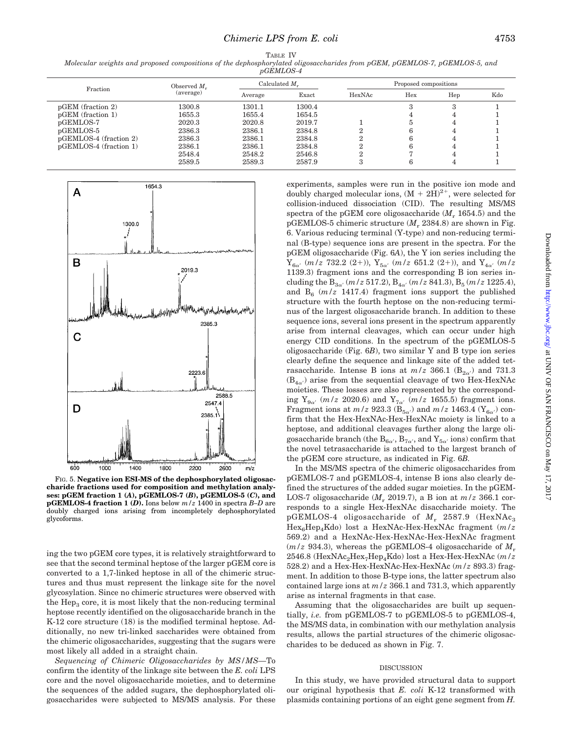TABLE IV *Molecular weights and proposed compositions of the dephosphorylated oligosaccharides from pGEM, pGEMLOS-7, pGEMLOS-5, and pGEMLOS-4*

|                        | Observed $M_r$ | Calculated $M_r$ . |        | Proposed compositions |     |     |     |  |
|------------------------|----------------|--------------------|--------|-----------------------|-----|-----|-----|--|
| Fraction               | (average)      | Average            | Exact  | HexNAc                | Hex | Hep | Kdo |  |
| pGEM (fraction 2)      | 1300.8         | 1301.1             | 1300.4 |                       | 3   |     |     |  |
| $pGEM$ (fraction 1)    | 1655.3         | 1655.4             | 1654.5 |                       |     |     |     |  |
| $pGEMLOS-7$            | 2020.3         | 2020.8             | 2019.7 |                       | 5.  |     |     |  |
| $pGEMLOS-5$            | 2386.3         | 2386.1             | 2384.8 | ົ                     | 6   |     |     |  |
| pGEMLOS-4 (fraction 2) | 2386.3         | 2386.1             | 2384.8 | ດ                     | 6   |     |     |  |
| pGEMLOS-4 (fraction 1) | 2386.1         | 2386.1             | 2384.8 | ິ                     | 6   |     |     |  |
|                        | 2548.4         | 2548.2             | 2546.8 | ີ                     | ┍   |     |     |  |
|                        | 2589.5         | 2589.3             | 2587.9 | 3                     | h   |     |     |  |
|                        |                |                    |        |                       |     |     |     |  |



FIG. 5. **Negative ion ESI-MS of the dephosphorylated oligosaccharide fractions used for composition and methylation analyses: pGEM fraction 1 (***A***), pGEMLOS-7 (***B***), pGEMLOS-5 (***C***), and pGEMLOS-4 fraction 1 (***D***).** Ions below *m/z* 1400 in spectra *B–D* are doubly charged ions arising from incompletely dephosphorylated glycoforms.

ing the two pGEM core types, it is relatively straightforward to see that the second terminal heptose of the larger pGEM core is converted to a 1,7-linked heptose in all of the chimeric structures and thus must represent the linkage site for the novel glycosylation. Since no chimeric structures were observed with the Hep<sub>3</sub> core, it is most likely that the non-reducing terminal heptose recently identified on the oligosaccharide branch in the K-12 core structure (18) is the modified terminal heptose. Additionally, no new tri-linked saccharides were obtained from the chimeric oligosaccharides, suggesting that the sugars were most likely all added in a straight chain.

*Sequencing of Chimeric Oligosaccharides by MS/MS—*To confirm the identity of the linkage site between the *E. coli* LPS core and the novel oligosaccharide moieties, and to determine the sequences of the added sugars, the dephosphorylated oligosaccharides were subjected to MS/MS analysis. For these

experiments, samples were run in the positive ion mode and doubly charged molecular ions,  $(M + 2H)^{2+}$ , were selected for collision-induced dissociation (CID). The resulting MS/MS spectra of the pGEM core oligosaccharide  $(M, 1654.5)$  and the pGEMLOS-5 chimeric structure  $(M_r 2384.8)$  are shown in Fig. 6. Various reducing terminal (Y-type) and non-reducing terminal (B-type) sequence ions are present in the spectra. For the pGEM oligosaccharide (Fig. 6*A*), the Y ion series including the  $Y_{6\alpha'}$  (*m/z* 732.2 (2+)),  $Y_{5\alpha'}$  (*m/z* 651.2 (2+)), and  $Y_{4\alpha'}$  (*m/z* 1139.3) fragment ions and the corresponding B ion series including the  $B_{3\alpha'}$  (*m*/*z* 517.2),  $B_{4\alpha'}$  (*m*/*z* 841.3),  $B_5$  (*m*/*z* 1225.4), and  $B_6$  ( $m/z$  1417.4) fragment ions support the published structure with the fourth heptose on the non-reducing terminus of the largest oligosaccharide branch. In addition to these sequence ions, several ions present in the spectrum apparently arise from internal cleavages, which can occur under high energy CID conditions. In the spectrum of the pGEMLOS-5 oligosaccharide (Fig. 6*B*), two similar Y and B type ion series clearly define the sequence and linkage site of the added tetrasaccharide. Intense B ions at  $m/z$  366.1  $(\text{B}_{2\alpha'})$  and 731.3  $(B_{4\alpha'})$  arise from the sequential cleavage of two Hex-HexNAc moieties. These losses are also represented by the corresponding  $Y_{9a}$  (*m/z* 2020.6) and  $Y_{7a}$  (*m/z* 1655.5) fragment ions. Fragment ions at  $m/z$  923.3 ( $B_{5\alpha'}$ ) and  $m/z$  1463.4 ( $Y_{6\alpha'}$ ) confirm that the Hex-HexNAc-Hex-HexNAc moiety is linked to a heptose, and additional cleavages further along the large oligosaccharide branch (the  $\text{B}_{6\alpha'}$ ,  $\text{B}_{7\alpha'}$ , and  $\text{Y}_{5\alpha'}$  ions) confirm that the novel tetrasaccharide is attached to the largest branch of the pGEM core structure, as indicated in Fig. 6*B.*

In the MS/MS spectra of the chimeric oligosaccharides from pGEMLOS-7 and pGEMLOS-4, intense B ions also clearly defined the structures of the added sugar moieties. In the pGEM-LOS-7 oligosaccharide (*M*<sup>r</sup> 2019.7), a B ion at *m/z* 366.1 corresponds to a single Hex-HexNAc disaccharide moiety. The  $p$ GEMLOS-4 oligosaccharide of  $M_r$  2587.9 (HexNAc<sub>3</sub>) Hex6Hep4Kdo) lost a HexNAc-Hex-HexNAc fragment (*m/z* 569.2) and a HexNAc-Hex-HexNAc-Hex-HexNAc fragment  $(m/z)$  934.3), whereas the pGEMLOS-4 oligosaccharide of  $M_r$ 2546.8 (HexNAc<sub>2</sub>Hex<sub>7</sub>Hep<sub>4</sub>Kdo) lost a Hex-Hex-HexNAc (*m/z* 528.2) and a Hex-Hex-HexNAc-Hex-HexNAc (*m/z* 893.3) fragment. In addition to those B-type ions, the latter spectrum also contained large ions at *m/z* 366.1 and 731.3, which apparently arise as internal fragments in that case.

Assuming that the oligosaccharides are built up sequentially, *i.e.* from pGEMLOS-7 to pGEMLOS-5 to pGEMLOS-4, the MS/MS data, in combination with our methylation analysis results, allows the partial structures of the chimeric oligosaccharides to be deduced as shown in Fig. 7.

#### DISCUSSION

In this study, we have provided structural data to support our original hypothesis that *E. coli* K-12 transformed with plasmids containing portions of an eight gene segment from *H.*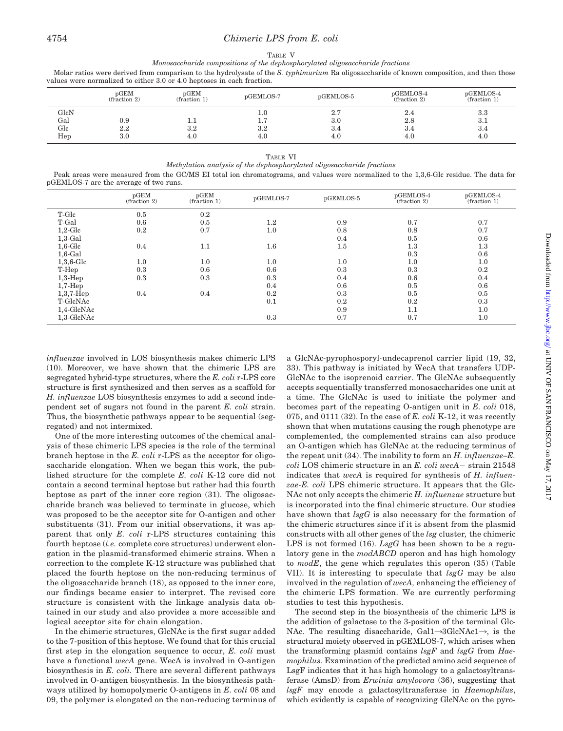*Monosaccharide compositions of the dephosphorylated oligosaccharide fractions*

Molar ratios were derived from comparison to the hydrolysate of the *S. typhimurium* Ra oligosaccharide of known composition, and then those values were normalized to either 3.0 or 4.0 heptoses in each fraction.

|      | pGEM<br>(fraction 2) | pGEM<br>(fraction 1) | pGEMLOS-7 | $pGEMLOS-5$ | pGEMLOS-4<br>(fraction 2) | $pGEMLOS-4$<br>(fraction 1) |
|------|----------------------|----------------------|-----------|-------------|---------------------------|-----------------------------|
| GlcN |                      |                      | $1.0\,$   | 2.7         | 2.4                       | 3.3                         |
| Gal  | 0.9                  | 1.1                  | 1.7       | 3.0         | 2.8                       | 3.1                         |
| Glc  | 2.2                  | $3.2\,$              | 3.2       | 3.4         | 3.4                       | 3.4                         |
| Hep  | 3.0                  | 4.0                  | 4.0       | 4.0         | 4.0                       | 4.0                         |

TABLE VI

*Methylation analysis of the dephosphorylated oligosaccharide fractions*

Peak areas were measured from the GC/MS EI total ion chromatograms, and values were normalized to the 1,3,6-Glc residue. The data for pGEMLOS-7 are the average of two runs.

|              | pGEM<br>(fraction 2) | pGEM<br>(fraction 1) | pGEMLOS-7 | pGEMLOS-5 | pGEMLOS-4<br>(fraction 2) | pGEMLOS-4<br>(fraction 1) |
|--------------|----------------------|----------------------|-----------|-----------|---------------------------|---------------------------|
| T-Glc        | 0.5                  | 0.2                  |           |           |                           |                           |
| T-Gal        | 0.6                  | 0.5                  | $1.2\,$   | 0.9       | 0.7                       | 0.7                       |
| $1,2$ -Glc   | 0.2                  | 0.7                  | 1.0       | 0.8       | 0.8                       | 0.7                       |
| $1,3$ -Gal   |                      |                      |           | 0.4       | 0.5                       | 0.6                       |
| $1,6$ -Glc   | 0.4                  | 1.1                  | $1.6\,$   | 1.5       | 1.3                       | 1.3                       |
| $1,6$ -Gal   |                      |                      |           |           | 0.3                       | 0.6                       |
| $1,3,6$ -Glc | $1.0\,$              | $1.0\,$              | 1.0       | 1.0       | 1.0                       | 1.0                       |
| T-Hep        | 0.3                  | 0.6                  | 0.6       | 0.3       | 0.3                       | 0.2                       |
| $1,3$ -Hep   | 0.3                  | 0.3                  | 0.3       | 0.4       | 0.6                       | 0.4                       |
| $1,7$ -Hep   |                      |                      | 0.4       | 0.6       | 0.5                       | 0.6                       |
| $1,3,7$ -Hep | 0.4                  | 0.4                  | $0.2\,$   | 0.3       | 0.5                       | 0.5                       |
| T-GlcNAc     |                      |                      | 0.1       | 0.2       | 0.2                       | 0.3                       |
| 1,4-GlcNAc   |                      |                      |           | 0.9       | 1.1                       | $1.0\,$                   |
| 1,3-GlcNAc   |                      |                      | 0.3       | 0.7       | 0.7                       | 1.0                       |

*influenzae* involved in LOS biosynthesis makes chimeric LPS (10). Moreover, we have shown that the chimeric LPS are segregated hybrid-type structures, where the *E. coli* r-LPS core structure is first synthesized and then serves as a scaffold for *H. influenzae* LOS biosynthesis enzymes to add a second independent set of sugars not found in the parent *E. coli* strain. Thus, the biosynthetic pathways appear to be sequential (segregated) and not intermixed.

One of the more interesting outcomes of the chemical analysis of these chimeric LPS species is the role of the terminal branch heptose in the *E. coli* r-LPS as the acceptor for oligosaccharide elongation. When we began this work, the published structure for the complete *E. coli* K-12 core did not contain a second terminal heptose but rather had this fourth heptose as part of the inner core region  $(31)$ . The oligosaccharide branch was believed to terminate in glucose, which was proposed to be the acceptor site for O-antigen and other substituents (31). From our initial observations, it was apparent that only *E. coli* r-LPS structures containing this fourth heptose (*i.e.* complete core structures) underwent elongation in the plasmid-transformed chimeric strains. When a correction to the complete K-12 structure was published that placed the fourth heptose on the non-reducing terminus of the oligosaccharide branch (18), as opposed to the inner core, our findings became easier to interpret. The revised core structure is consistent with the linkage analysis data obtained in our study and also provides a more accessible and logical acceptor site for chain elongation.

In the chimeric structures, GlcNAc is the first sugar added to the 7-position of this heptose. We found that for this crucial first step in the elongation sequence to occur, *E. coli* must have a functional *wecA* gene. WecA is involved in O-antigen biosynthesis in *E. coli.* There are several different pathways involved in O-antigen biosynthesis. In the biosynthesis pathways utilized by homopolymeric O-antigens in *E. coli* 08 and 09, the polymer is elongated on the non-reducing terminus of a GlcNAc-pyrophosporyl*-*undecaprenol carrier lipid (19, 32, 33). This pathway is initiated by WecA that transfers UDP-GlcNAc to the isoprenoid carrier. The GlcNAc subsequently accepts sequentially transferred monosaccharides one unit at a time. The GlcNAc is used to initiate the polymer and becomes part of the repeating O-antigen unit in *E. coli* 018, 075, and 0111 (32). In the case of *E. coli* K-12, it was recently shown that when mutations causing the rough phenotype are complemented, the complemented strains can also produce an O-antigen which has GlcNAc at the reducing terminus of the repeat unit (34). The inability to form an *H. influenzae–E. coli* LOS chimeric structure in an *E. coli wecA* - strain 21548 indicates that *wecA* is required for synthesis of *H. influenzae-E. coli* LPS chimeric structure. It appears that the Glc-NAc not only accepts the chimeric *H. influenzae* structure but is incorporated into the final chimeric structure. Our studies have shown that *lsgG* is also necessary for the formation of the chimeric structures since if it is absent from the plasmid constructs with all other genes of the *lsg* cluster*,* the chimeric LPS is not formed (16). *LsgG* has been shown to be a regulatory gene in the *modABCD* operon and has high homology to *modE*, the gene which regulates this operon (35) (Table VII). It is interesting to speculate that *lsgG* may be also involved in the regulation of *wecA,* enhancing the efficiency of the chimeric LPS formation. We are currently performing studies to test this hypothesis.

The second step in the biosynthesis of the chimeric LPS is the addition of galactose to the 3-position of the terminal Glc-NAc. The resulting disaccharide, Gal1 $\rightarrow$ 3GlcNAc1 $\rightarrow$ , is the structural moiety observed in pGEMLOS-7, which arises when the transforming plasmid contains *lsgF* and *lsgG* from *Haemophilus*. Examination of the predicted amino acid sequence of LsgF indicates that it has high homology to a galactosyltransferase (AmsD) from *Erwinia amylovora* (36), suggesting that *lsgF* may encode a galactosyltransferase in *Haemophilus*, which evidently is capable of recognizing GlcNAc on the pyro-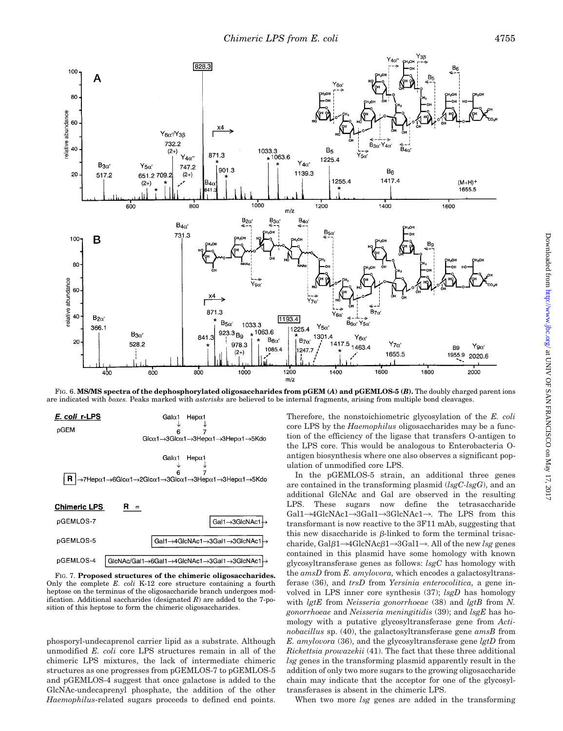

FIG. 6. **MS/MS spectra of the dephosphorylated oligosaccharides from pGEM (***A***) and pGEMLOS-5 (***B***).** The doubly charged parent ions are indicated with *boxes.* Peaks marked with *asterisks* are believed to be internal fragments, arising from multiple bond cleavages.



FIG. 7. **Proposed structures of the chimeric oligosaccharides.** Only the complete *E. coli* K-12 core structure containing a fourth heptose on the terminus of the oligosaccharide branch undergoes modification. Additional saccharides (designated  $R$ ) are added to the 7-position of this heptose to form the chimeric oligosaccharides.

phosporyl-undecaprenol carrier lipid as a substrate. Although unmodified *E. coli* core LPS structures remain in all of the chimeric LPS mixtures, the lack of intermediate chimeric structures as one progresses from pGEMLOS-7 to pGEMLOS-5 and pGEMLOS-4 suggest that once galactose is added to the GlcNAc-undecaprenyl phosphate, the addition of the other *Haemophilus*-related sugars proceeds to defined end points.

Therefore, the nonstoichiometric glycosylation of the *E. coli* core LPS by the *Haemophilus* oligosaccharides may be a function of the efficiency of the ligase that transfers O-antigen to the LPS core. This would be analogous to Enterobacteria Oantigen biosynthesis where one also observes a significant population of unmodified core LPS.

In the pGEMLOS-5 strain, an additional three genes are contained in the transforming plasmid (*lsgC-lsgG*), and an additional GlcNAc and Gal are observed in the resulting LPS. These sugars now define the tetrasaccharide  $Gal1\rightarrow4GlcNAc1\rightarrow3Gal1\rightarrow3GlcNAc1\rightarrow$ . The LPS from this transformant is now reactive to the 3F11 mAb, suggesting that this new disaccharide is  $\beta$ -linked to form the terminal trisaccharide, Galβ1→4GlcNAcβ1→3Gal1→. All of the new *lsg* genes contained in this plasmid have some homology with known glycosyltransferase genes as follows: *lsgC* has homology with the *amsD* from *E. amylovora,* which encodes a galactosyltransferase (36), and *trsD* from *Yersinia enterocolitica,* a gene involved in LPS inner core synthesis (37); *lsgD* has homology with *lgtE* from *Neisseria gonorrhoeae* (38) and *lgtB* from *N. gonorrhoeae* and *Neisseria meningitidis* (39); and *lsgE* has homology with a putative glycosyltransferase gene from *Actinobacillus* sp. (40), the galactosyltransferase gene *amsB* from *E. amylovora* (36), and the glycosyltransferase gene *lgtD* from *Rickettsia prowazekii* (41). The fact that these three additional *lsg* genes in the transforming plasmid apparently result in the addition of only two more sugars to the growing oligosaccharide chain may indicate that the acceptor for one of the glycosyltransferases is absent in the chimeric LPS.

When two more *lsg* genes are added in the transforming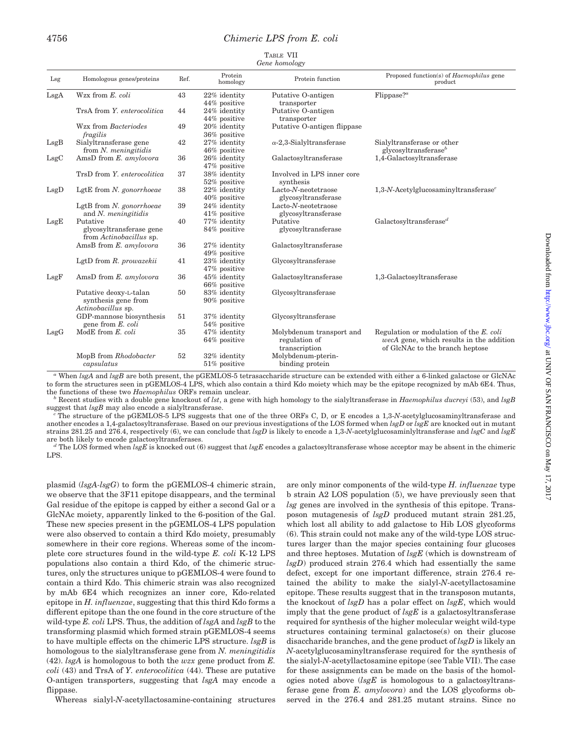### 4756 *Chimeric LPS from E. coli*

#### TABLE VII *Gene homology*

| Lsg  | Homologous genes/proteins                           | Ref. | Protein<br>homology | Protein function                | Proposed function(s) of Haemophilus gene<br>product                         |
|------|-----------------------------------------------------|------|---------------------|---------------------------------|-----------------------------------------------------------------------------|
| LsgA | Wzx from $E$ , coli                                 | 43   | 22% identity        | Putative O-antigen              | Flippase? $a^2$                                                             |
|      |                                                     |      | 44% positive        | transporter                     |                                                                             |
|      | TrsA from Y. enterocolitica                         | 44   | 24% identity        | Putative O-antigen              |                                                                             |
|      |                                                     |      | 44% positive        | transporter                     |                                                                             |
|      | Wzx from Bacteriodes                                | 49   | 20% identity        | Putative O-antigen flippase     |                                                                             |
|      | fragilis                                            |      | 36% positive        |                                 |                                                                             |
| LsgB | Sialyltransferase gene                              | 42   | 27% identity        | $\alpha$ -2,3-Sialyltransferase | Sialyltransferase or other                                                  |
|      | from N. meningitidis                                |      | 46% positive        |                                 | glycosyltransferase $b$                                                     |
| LsgC | AmsD from E. amylovora                              | 36   | 26% identity        | Galactosyltransferase           | 1,4-Galactosyltransferase                                                   |
|      |                                                     |      | 47% positive        |                                 |                                                                             |
|      | TrsD from Y. enterocolitica                         | 37   | 38% identity        | Involved in LPS inner core      |                                                                             |
|      |                                                     |      | 52% positive        | synthesis                       |                                                                             |
| LsgD | LgtE from $N$ , gonorrhoeae                         | 38   | 22% identity        | $Lacto-N-neotetraose$           | $1,3-N$ -Acetylglucosaminyltransferase <sup>c</sup>                         |
|      |                                                     |      | 40% positive        | glycosyltransferase             |                                                                             |
|      | LgtB from $N$ , gonorrhoeae                         | 39   | 24% identity        | Lacto-N-neotetraose             |                                                                             |
|      | and N. meningitidis                                 |      | 41% positive        | glycosyltransferase             |                                                                             |
| LsgE | Putative                                            | 40   | 77% identity        | Putative                        | Galactosyltransferase $d$                                                   |
|      | glycosyltransferase gene<br>from Actinobacillus sp. |      | 84% positive        | glycosyltransferase             |                                                                             |
|      | AmsB from E. amylovora                              | 36   | 27% identity        | Galactosyltransferase           |                                                                             |
|      |                                                     |      | 49% positive        |                                 |                                                                             |
|      | LgtD from $R$ . prowazekii                          | 41   | 23% identity        | Glycosyltransferase             |                                                                             |
|      |                                                     |      | 47% positive        |                                 |                                                                             |
| LsgF | AmsD from E. amylovora                              | 36   | 45% identity        | Galactosyltransferase           | 1,3-Galactosyltransferase                                                   |
|      |                                                     |      | 66% positive        |                                 |                                                                             |
|      | Putative deoxy-L-talan                              | 50   | 83% identity        | Glycosyltransferase             |                                                                             |
|      | synthesis gene from<br>Actinobacillus sp.           |      | 90% positive        |                                 |                                                                             |
|      | GDP-mannose biosynthesis                            | 51   | 37% identity        | Glycosyltransferase             |                                                                             |
|      | gene from $E$ , coli                                |      | 54% positive        |                                 |                                                                             |
| LsgG | ModE from E. coli                                   | 35   | 47% identity        | Molybdenum transport and        | Regulation or modulation of the $E$ . coli                                  |
|      |                                                     |      | 64% positive        | regulation of<br>transcription  | wecA gene, which results in the addition<br>of GlcNAc to the branch heptose |
|      | MopB from Rhodobacter                               | 52   | 32% identity        | Molybdenum-pterin-              |                                                                             |
|      | capsulatus                                          |      | 51% positive        | binding protein                 |                                                                             |
|      |                                                     |      |                     |                                 |                                                                             |

*<sup>a</sup>* When *lsgA* and *lsgB* are both present, the pGEMLOS-5 tetrasaccharide structure can be extended with either a 6-linked galactose or GlcNAc to form the structures seen in pGEMLOS-4 LPS, which also contain a third Kdo moiety which may be the epitope recognized by mAb 6E4. Thus, the functions of these two *Haemophilus* ORFs remain unclear.

 $^b$  Recent studies with a double gene knockout of lst, a gene with high homology to the sialyltransferase in Haemophilus ducreyi (53), and lsgB suggest that *lsgB* may also encode a sialyltransferase.<br><sup>c</sup> The structure of the pGEMLOS-5 LPS suggests that one of the three ORFs C, D, or E encodes a 1,3-*N*-acetylglucosaminyltransferase and

another encodes a 1,4-galactosyltransferase. Based on our previous investigations of the LOS formed when *lsgD* or *lsgE* are knocked out in mutant strains 281.25 and 276.4, respectively (6), we can conclude that *lsgD* is likely to encode a 1,3-*N*-acetylglucosaminlyltransferase and *lsgC* and *lsgE* are both likely to encode galactosyltransferases.<br><sup>*d*</sup> The LOS formed when *lsgE* is knocked out (6) suggest that *lsgE* encodes a galactosyltransferase whose acceptor may be absent in the chimeric

LPS.

plasmid (*lsgA-lsgG*) to form the pGEMLOS-4 chimeric strain, we observe that the 3F11 epitope disappears, and the terminal Gal residue of the epitope is capped by either a second Gal or a GlcNAc moiety, apparently linked to the 6-position of the Gal. These new species present in the pGEMLOS-4 LPS population were also observed to contain a third Kdo moiety, presumably somewhere in their core regions. Whereas some of the incomplete core structures found in the wild-type *E. coli* K-12 LPS populations also contain a third Kdo, of the chimeric structures, only the structures unique to pGEMLOS-4 were found to contain a third Kdo. This chimeric strain was also recognized by mAb 6E4 which recognizes an inner core, Kdo-related epitope in *H. influenzae*, suggesting that this third Kdo forms a different epitope than the one found in the core structure of the wild-type *E. coli* LPS. Thus, the addition of *lsgA* and *lsgB* to the transforming plasmid which formed strain pGEMLOS-4 seems to have multiple effects on the chimeric LPS structure. *lsgB* is homologous to the sialyltransferase gene from *N. meningitidis* (42). *lsgA* is homologous to both the *wzx* gene product from *E. coli* (43) and TrsA of *Y. enterocolitica* (44). These are putative O-antigen transporters, suggesting that *lsgA* may encode a flippase.

Whereas sialyl-*N*-acetyllactosamine-containing structures

are only minor components of the wild-type *H. influenzae* type b strain A2 LOS population (5), we have previously seen that *lsg* genes are involved in the synthesis of this epitope. Transposon mutagenesis of *lsgD* produced mutant strain 281.25, which lost all ability to add galactose to Hib LOS glycoforms (6). This strain could not make any of the wild-type LOS structures larger than the major species containing four glucoses and three heptoses. Mutation of *lsgE* (which is downstream of *lsgD*) produced strain 276.4 which had essentially the same defect, except for one important difference, strain 276.4 retained the ability to make the sialyl-*N*-acetyllactosamine epitope. These results suggest that in the transposon mutants, the knockout of *lsgD* has a polar effect on *lsgE*, which would imply that the gene product of *lsgE* is a galactosyltransferase required for synthesis of the higher molecular weight wild-type structures containing terminal galactose(s) on their glucose disaccharide branches, and the gene product of *lsgD* is likely an *N*-acetylglucosaminyltransferase required for the synthesis of the sialyl-*N*-acetyllactosamine epitope (see Table VII). The case for these assignments can be made on the basis of the homologies noted above (*lsgE* is homologous to a galactosyltransferase gene from *E. amylovora*) and the LOS glycoforms observed in the 276.4 and 281.25 mutant strains. Since no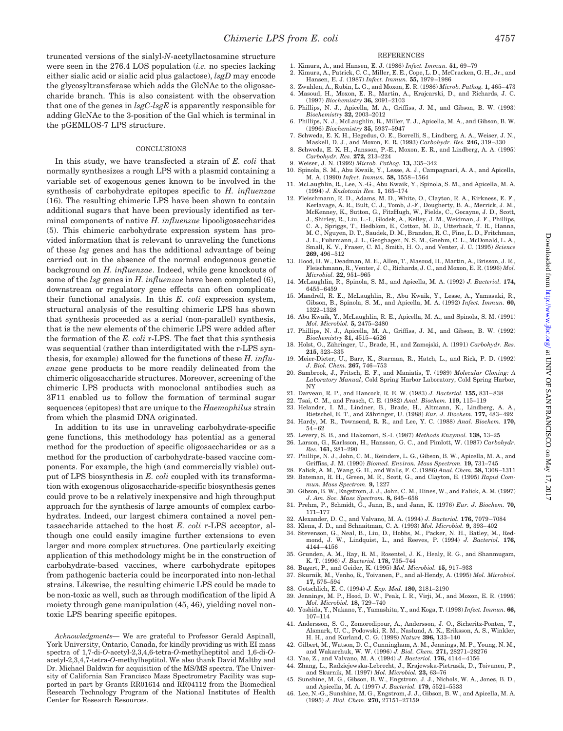truncated versions of the sialyl-*N*-acetyllactosamine structure were seen in the 276.4 LOS population (*i.e.* no species lacking either sialic acid or sialic acid plus galactose), *lsgD* may encode the glycosyltransferase which adds the GlcNAc to the oligosaccharide branch. This is also consistent with the observation that one of the genes in *lsgC-lsgE* is apparently responsible for adding GlcNAc to the 3-position of the Gal which is terminal in the pGEMLOS-7 LPS structure.

#### **CONCLUSIONS**

In this study, we have transfected a strain of *E. coli* that normally synthesizes a rough LPS with a plasmid containing a variable set of exogenous genes known to be involved in the synthesis of carbohydrate epitopes specific to *H. influenzae* (16). The resulting chimeric LPS have been shown to contain additional sugars that have been previously identified as terminal components of native *H. influenzae* lipooligosaccharides (5). This chimeric carbohydrate expression system has provided information that is relevant to unraveling the functions of these *lsg* genes and has the additional advantage of being carried out in the absence of the normal endogenous genetic background on *H. influenzae*. Indeed, while gene knockouts of some of the *lsg* genes in *H. influenzae* have been completed (6), downstream or regulatory gene effects can often complicate their functional analysis. In this *E. coli* expression system, structural analysis of the resulting chimeric LPS has shown that synthesis proceeded as a serial (non-parallel) synthesis, that is the new elements of the chimeric LPS were added after the formation of the *E. coli* r-LPS. The fact that this synthesis was sequential (rather than interdigitated with the r-LPS synthesis, for example) allowed for the functions of these *H. influenzae* gene products to be more readily delineated from the chimeric oligosaccharide structures. Moreover, screening of the chimeric LPS products with monoclonal antibodies such as 3F11 enabled us to follow the formation of terminal sugar sequences (epitopes) that are unique to the *Haemophilus* strain from which the plasmid DNA originated.

In addition to its use in unraveling carbohydrate-specific gene functions, this methodology has potential as a general method for the production of specific oligosaccharides or as a method for the production of carbohydrate-based vaccine components. For example, the high (and commercially viable) output of LPS biosynthesis in *E. coli* coupled with its transformation with exogenous oligosaccharide-specific biosynthesis genes could prove to be a relatively inexpensive and high throughput approach for the synthesis of large amounts of complex carbohydrates. Indeed, our largest chimera contained a novel pentasaccharide attached to the host *E. coli* r-LPS acceptor, although one could easily imagine further extensions to even larger and more complex structures. One particularly exciting application of this methodology might be in the construction of carbohydrate-based vaccines, where carbohydrate epitopes from pathogenic bacteria could be incorporated into non-lethal strains. Likewise, the resulting chimeric LPS could be made to be non-toxic as well, such as through modification of the lipid A moiety through gene manipulation (45, 46), yielding novel nontoxic LPS bearing specific epitopes.

*Acknowledgments—* We are grateful to Professor Gerald Aspinall, York University, Ontario, Canada, for kindly providing us with EI mass spectra of 1,7-di-*O*-acetyl-2,3,4,6-tetra-*O*-methylheptitol and 1,6-di-*O*acetyl-2,3,4,7-tetra-*O*-methylheptitol. We also thank David Maltby and Dr. Michael Baldwin for acquisition of the MS/MS spectra. The University of California San Francisco Mass Spectrometry Facility was supported in part by Grants RR01614 and RR04112 from the Biomedical Research Technology Program of the National Institutes of Health Center for Research Resources.

#### REFERENCES

- 1. Kimura, A., and Hansen, E. J. (1986) *Infect. Immun.* **51,** 69–79
- 2. Kimura, A., Patrick, C. C., Miller, E. E., Cope, L. D., McCracken, G. H., Jr., and Hansen, E. J. (1987) *Infect. Immun.* **55,** 1979–1986
- 3. Zwahlen, A., Rubin, L. G., and Moxon, E. R. (1986) *Microb. Pathog.* **1,** 465–473 4. Masoud, H., Moxon, E. R., Martin, A., Krajcarski, D., and Richards, J. C.
- (1997) *Biochemistry* **36,** 2091–2103 5. Phillips, N. J., Apicella, M. A., Griffiss, J. M., and Gibson, B. W. (1993)
- *Biochemistry* **32,** 2003–2012 6. Phillips, N. J., McLaughlin, R., Miller, T. J., Apicella, M. A., and Gibson, B. W.
- (1996) *Biochemistry* **35,** 5937–5947 7. Schweda, E. K. H., Hegedus, O. E., Borrelli, S., Lindberg, A. A., Weiser, J. N.,
- Maskell, D. J., and Moxon, E. R. (1993) *Carbohydr. Res.* **246,** 319–330 8. Schweda, E. K. H., Jansson, P.-E., Moxon, E. R., and Lindberg, A. A. (1995)
- *Carbohydr. Res.* **272,** 213–224
- 9. Weiser, J. N. (1992) *Microb. Pathog.* **13,** 335–342
- 10. Spinola, S. M., Abu Kwaik, Y., Lesse, A. J., Campagnari, A. A., and Apicella, M. A. (1990) *Infect. Immun.* **58,** 1558–1564
- 11. McLaughlin, R., Lee, N.-G., Abu Kwaik, Y., Spinola, S. M., and Apicella, M. A. (1994) *J. Endotoxin Res.* **1,** 165–174
- 12. Fleischmann, R. D., Adams, M. D., White, O., Clayton, R. A., Kirkness, E. F., Kerlavage, A. R., Bult, C. J., Tomb, J.-F., Dougherty, B. A., Merrick, J. M., McKenney, K., Sutton, G., FitzHugh, W., Fields, C., Gocayne, J. D., Scott, J., Shirley, R., Liu, L.-I., Glodek, A., Kelley, J. M., Weidman, J. F., Phillips, C. A., Spriggs, T., Hedblom, E., Cotton, M. D., Utterback, T. R., Hanna, M. C., Nguyen, D. T., Saudek, D. M., Brandon, R. C., Fine, L. D., Fritchman, J. L., Fuhrmann, J. L., Geoghagen, N. S. M., Gnehm, C. L., McDonald, L. A., Small, K. V., Fraser, C. M., Smith, H. O., and Venter, J. C. (1995) *Science* **269,** 496–512
- 13. Hood, D. W., Deadman, M. E., Allen, T., Masoud, H., Martin, A., Brisson, J. R., Fleischmann, R., Venter, J. C., Richards, J. C., and Moxon, E. R. (1996) *Mol. Microbiol.* **22,** 951–965
- 14. McLaughlin, R., Spinola, S. M., and Apicella, M. A. (1992) *J. Bacteriol.* **174,** 6455–6459
- 15. Mandrell, R. E., McLaughlin, R., Abu Kwaik, Y., Lesse, A., Yamasaki, R., Gibson, B., Spinola, S. M., and Apicella, M. A. (1992) *Infect. Immun.* **60,** 1322–1328
- 16. Abu Kwaik, Y., McLaughlin, R. E., Apicella, M. A., and Spinola, S. M. (1991) *Mol. Microbiol.* **5,** 2475–2480
- 17. Phillips, N. J., Apicella, M. A., Griffiss, J. M., and Gibson, B. W. (1992) *Biochemistry* **31,** 4515–4526
- 18. Holst, O., Zähringer, U., Brade, H., and Zamojski, A. (1991) *Carbohydr. Res.* **215,** 323–335
- 19. Meier-Dieter, U., Barr, K., Starman, R., Hatch, L., and Rick, P. D. (1992) *J. Biol. Chem.* **267,** 746–753
- 20. Sambrook, J., Fritsch, E. F., and Maniatis, T. (1989) *Molecular Cloning: A Laboratory Manual*, Cold Spring Harbor Laboratory, Cold Spring Harbor, NY
- 21. Darveau, R. P., and Hancock, R. E. W. (1983) *J. Bacteriol.* **155,** 831–838
- 22. Tsai, C. M., and Frasch, C. E. (1982) *Anal. Biochem.* **119,** 115–119
- 23. Helander, I. M., Lindner, B., Brade, H., Altmann, K., Lindberg, A. A.,
- Rietschel, E. T., and Zähringer, U. (1988) *Eur. J. Biochem.* 177, 483-492 24. Hardy, M. R., Townsend, R. R., and Lee, Y. C. (1988) *Anal. Biochem.* **170,** 54–62
- 25. Levery, S. B., and Hakomori, S.-I. (1987) *Methods Enzymol.* **138,** 13–25
- 26. Larson, G., Karlsson, H., Hansson, G. C., and Pimlott, W. (1987) *Carbohydr. Res.* **161,** 281–290
- 27. Phillips, N. J., John, C. M., Reinders, L. G., Gibson, B. W., Apicella, M. A., and Griffiss, J. M. (1990) *Biomed. Environ. Mass Spectrom.* **19,** 731–745
- 28. Falick, A. M., Wang, G. H., and Walls, F. C. (1986) *Anal. Chem.* **58,** 1308–1311 29. Bateman, R. H., Green, M. R., Scott, G., and Clayton, E. (1995) *Rapid Commun. Mass Spectrom.* **9,** 1227
- 30. Gibson, B. W., Engstrom, J. J., John, C. M., Hines, W., and Falick, A. M. (1997) *J. Am. Soc. Mass Spectrom.* **8,** 645–658
- 31. Prehm, P., Schmidt, G., Jann, B., and Jann, K. (1976) *Eur. J. Biochem.* **70,** 171–177
- 32. Alexander, D. C., and Valvano, M. A. (1994) *J. Bacteriol.* **176,** 7079–7084
- 33. Klena, J. D., and Schnaitman, C. A. (1993) *Mol. Microbiol.* **9,** 393–402
- 34. Stevenson, G., Neal, B., Liu, D., Hobbs, M., Packer, N. H., Batley, M., Red-mond, J. W., Lindquist, L., and Reeves, P. (1994) *J. Bacteriol.* **176,** 4144–4156
- 35. Grunden, A. M., Ray, R. M., Rosentel, J. K., Healy, R. G., and Shanmugam,
- K. T. (1996) *J. Bacteriol.* **178,** 735–744
- 36. Bugert, P., and Geider, K. (1995) *Mol. Microbiol.* **15,** 917–933 37. Skurnik, M., Venho, R., Toivanen, P., and al-Hendy, A. (1995) *Mol. Microbiol.*
- **17,** 575–594
- 38. Gotschlich, E. C. (1994) *J. Exp. Med.* **180,** 2181–2190 39. Jennings, M. P., Hood, D. W., Peak, I. R., Virji, M., and Moxon, E. R. (1995) *Mol. Microbiol.* **18,** 729–740
- 40. Yoshida, Y., Nakano, Y., Yamashita, Y., and Koga, T. (1998) *Infect. Immun.* **66,** 107–114
- 41. Andersson, S. G., Zomorodipour, A., Andersson, J. O., Sicheritz-Ponten, T., Alsmark, U. C., Podowski, R. M., Naslund, A. K., Eriksson, A. S., Winkler, H. H., and Kurland, C. G. (1998) *Nature* **396,** 133–140
- 42. Gilbert, M., Watson, D. C., Cunningham, A. M., Jennings, M. P., Young, N. M., and Wakarchuk, W. W. (1996) *J. Biol. Chem.* **271,** 28271–28276
- 43. Yao, Z., and Valvano, M. A. (1994) *J. Bacteriol.* **176,** 4144–4156
- 44. Zhang, L., Radziejewska-Lebrecht, J., Krajewska-Pietrasik, D., Toivanen, P., and Skurnik, M. (1997) *Mol. Microbiol.* **23,** 63–76
- 45. Sunshine, M. G., Gibson, B. W., Engstrom, J. J., Nichols, W. A., Jones, B. D., and Apicella, M. A. (1997) *J. Bacteriol.* **179,** 5521–5533
- 46. Lee, N.-G., Sunshine, M. G., Engstrom, J. J., Gibson, B. W., and Apicella, M. A. (1995) *J. Biol. Chem.* **270,** 27151–27159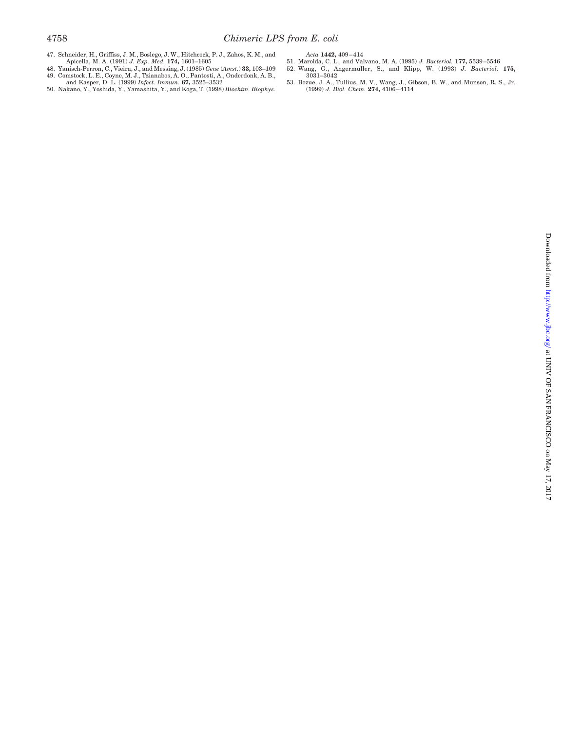- 47. Schneider, H., Griffiss, J. M., Boslego, J. W., Hitchcock, P. J., Zahos, K. M., and Apicella, M. A. (1991) *J. Exp. Med.* **174,** 1601–1605
- 48. Yanisch-Perron, C., Vieira, J., and Messing, J. (1985) *Gene* (*Amst.*) **33,** 103–109 49. Comstock, L. E., Coyne, M. J., Tzianabos, A. O., Pantosti, A., Onderdonk, A. B.,
- 
- and Kasper, D. L. (1999) *Infect. Immun.* **67,** 3525–3532 50. Nakano, Y., Yoshida, Y., Yamashita, Y., and Koga, T. (1998) *Biochim. Biophys.*

- *Acta* **1442,** 409–414 51. Marolda, C. L., and Valvano, M. A. (1995) *J. Bacteriol.* **177,** 5539–5546
- 52. Wang, G., Angermuller, S., and Klipp, W. (1993) *J. Bacteriol.* **175,** 3031–3042
- 53. Bozue, J. A., Tullius, M. V., Wang, J., Gibson, B. W., and Munson, R. S., Jr. (1999) *J. Biol. Chem.* **274,** 4106–4114